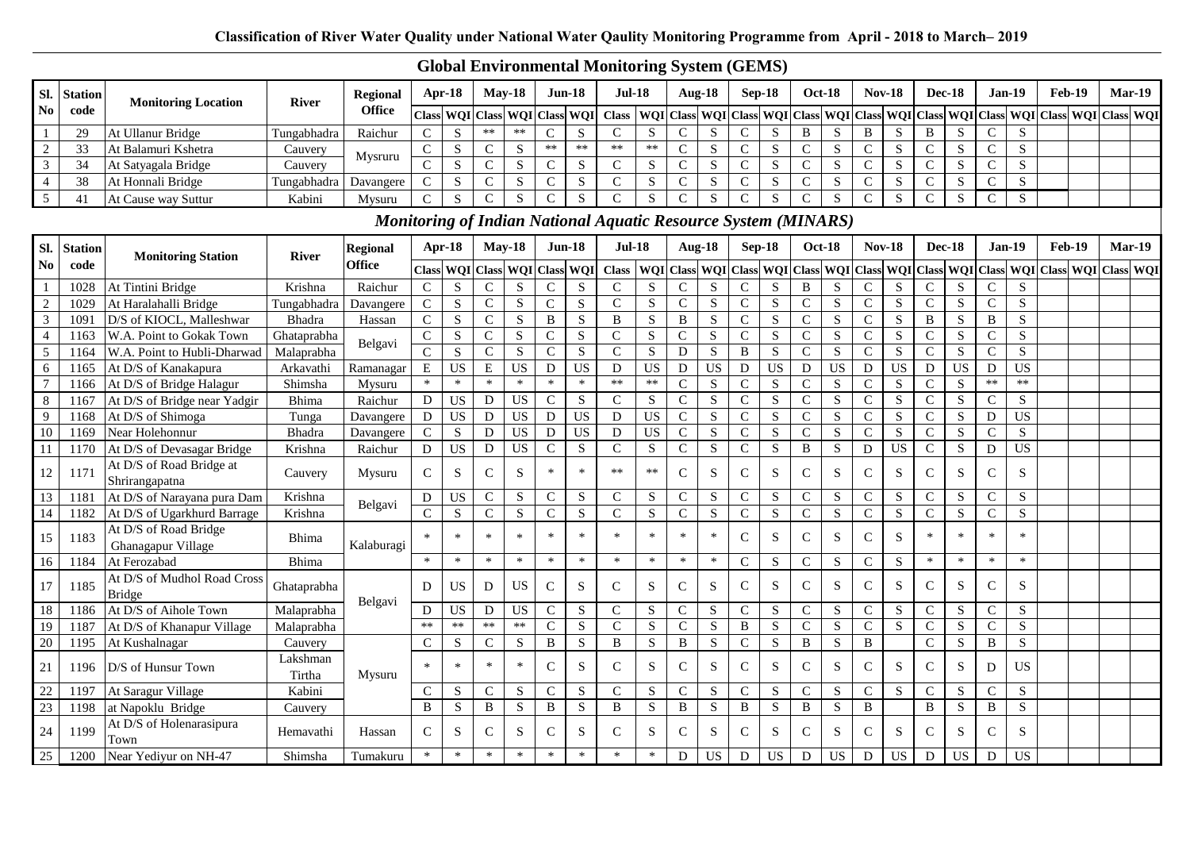# **Global Environmental Monitoring System (GEMS)**

| SI.                    | <b>Station</b> | <b>Monitoring Location</b>                   | <b>River</b>       | <b>Regional</b>                                                |                | Apr-18                        |                | $Mav-18$        |               | $Jun-18$    | <b>Jul-18</b> |                         |                | Aug-18                  |                | Sep-18                  |               | <b>Oct-18</b> |               | <b>Nov-18</b> |                | <b>Dec-18</b> |               | Jan-19          | <b>Feb-19</b>                                                                     | $Mar-19$ |  |
|------------------------|----------------|----------------------------------------------|--------------------|----------------------------------------------------------------|----------------|-------------------------------|----------------|-----------------|---------------|-------------|---------------|-------------------------|----------------|-------------------------|----------------|-------------------------|---------------|---------------|---------------|---------------|----------------|---------------|---------------|-----------------|-----------------------------------------------------------------------------------|----------|--|
| $\mathbf{N}\mathbf{o}$ | code           |                                              |                    | <b>Office</b>                                                  | <b>Class</b>   | WQI                           | <b>Class</b>   | <b>WOI</b>      |               | Class WQI   | <b>Class</b>  | WOI                     | <b>Class</b>   | WQI                     | <b>Class</b>   | WQI                     |               | Class WQI     |               |               |                |               |               |                 | Class WQI Class WQI Class WQI Class WQI Class WQI                                 |          |  |
| $\mathbf{1}$           | 29             | At Ullanur Bridge                            | Tungabhadra        | Raichur                                                        | ${\bf C}$      | ${\bf S}$                     | $\ast\ast$     | $**$            | $\mathsf{C}$  | S           | $\mathbf C$   | S                       | $\mathsf{C}$   | ${\bf S}$               | $\mathbf C$    | ${\bf S}$               | $\, {\bf B}$  | ${\bf S}$     | $\, {\bf B}$  | ${\bf S}$     | $\, {\bf B}$   | ${\bf S}$     | $\mathsf{C}$  | S               |                                                                                   |          |  |
| $\sqrt{2}$             | 33             | At Balamuri Kshetra                          | Cauvery            |                                                                | $\mathbf C$    | ${\bf S}$                     | $\mathsf{C}$   | S               | $\ast\ast$    | **          | $\ast\ast$    | $\ast\ast$              | $\mathsf{C}$   | S                       | $\mathsf{C}$   | S                       | $\mathsf{C}$  | S             | $\mathsf{C}$  | S             | $\mathcal{C}$  | S             | $\mathsf{C}$  | S               |                                                                                   |          |  |
| $\mathfrak{Z}$         | 34             | At Satyagala Bridge                          | Cauvery            | Mysruru                                                        | $\mathbf C$    | ${\bf S}$                     | $\mathbf C$    | ${\bf S}$       | $\mathsf{C}$  | ${\bf S}$   | $\mathbf C$   | ${\bf S}$               | $\mathbf C$    | ${\bf S}$               | $\mathbf C$    | ${\bf S}$               | $\mathsf C$   | ${\bf S}$     | ${\bf C}$     | ${\bf S}$     | $\mathbf C$    | ${\bf S}$     | $\mathbf C$   | ${\bf S}$       |                                                                                   |          |  |
| $\overline{4}$         | 38             | At Honnali Bridge                            | Tungabhadra        | Davangere                                                      | $\mathbf C$    | ${\bf S}$                     | $\mathbf C$    | ${\bf S}$       | $\mathsf{C}$  | S           | $\mathbf C$   | ${\bf S}$               | $\mathbf C$    | ${\bf S}$               | $\mathbf C$    | ${\bf S}$               | $\mathbf C$   | ${\bf S}$     | $\mathbf C$   | ${\bf S}$     | $\mathsf{C}$   | ${\bf S}$     | $\mathbf C$   | $\mathbf S$     |                                                                                   |          |  |
| $\overline{5}$         | 41             | At Cause way Suttur                          | Kabini             | Mysuru                                                         | $\mathsf{C}$   | S                             | $\mathcal{C}$  | S               | $\mathcal{C}$ | S           | $\mathsf{C}$  | S                       | $\mathcal{C}$  | S                       | $\mathcal{C}$  | S                       | $\mathcal{C}$ | S             | $\mathcal{C}$ | S             | $\mathcal{C}$  | S             | $\mathsf{C}$  | S               |                                                                                   |          |  |
|                        |                |                                              |                    | Monitoring of Indian National Aquatic Resource System (MINARS) |                |                               |                |                 |               |             |               |                         |                |                         |                |                         |               |               |               |               |                |               |               |                 |                                                                                   |          |  |
| SI.                    | Station        | <b>Monitoring Station</b>                    | <b>River</b>       | <b>Regional</b>                                                |                | Apr-18                        |                | $May-18$        |               | $Jun-18$    | <b>Jul-18</b> |                         |                | Aug-18                  |                | <b>Sep-18</b>           |               | <b>Oct-18</b> |               | <b>Nov-18</b> |                | <b>Dec-18</b> |               | <b>Jan-19</b>   | <b>Feb-19</b>                                                                     | $Mar-19$ |  |
| $\mathbf{No}$          | code           |                                              |                    | Office                                                         |                | Class WQI Class WQI Class WQI |                |                 |               |             | <b>Class</b>  |                         |                |                         |                | WQI Class WQI Class WQI |               |               |               |               |                |               |               |                 | Class   WQI   Class   WQI   Class   WQI   Class   WQI   Class   WQI   Class   WQI |          |  |
| $\mathbf{1}$           | 1028           | At Tintini Bridge                            | Krishna            | Raichur                                                        | $\mathsf{C}$   | ${\bf S}$                     | $\mathsf{C}$   | S               | $\mathsf{C}$  | S           | $\mathcal{C}$ | S                       | $\mathsf{C}$   | ${\bf S}$               | $\mathsf{C}$   | ${\bf S}$               | B             | ${\bf S}$     | $\mathsf{C}$  | S             | $\mathsf{C}$   | S             | $\mathsf{C}$  | S               |                                                                                   |          |  |
| $\overline{2}$         | 1029           | At Haralahalli Bridge                        | Tungabhadra        | Davangere                                                      | $\mathbf C$    | ${\bf S}$                     | $\mathbf C$    | ${\bf S}$       | $\mathsf{C}$  | S           | $\mathbf C$   | S                       | $\mathsf{C}$   | ${\bf S}$               | $\mathsf C$    | ${\bf S}$               | $\mathsf{C}$  | ${\bf S}$     | $\mathbf C$   | S             | ${\bf C}$      | ${\bf S}$     | $\mathbf C$   | ${\bf S}$       |                                                                                   |          |  |
| $\overline{3}$         | 1091           | D/S of KIOCL, Malleshwar                     | Bhadra             | Hassan                                                         | $\mathbf{C}$   | ${\bf S}$                     | ${\bf C}$      | ${\bf S}$       | B             | S           | $\, {\bf B}$  | S                       | B              | ${\bf S}$               | $\mathbf C$    | S                       | $\mathsf{C}$  | S             | $\mathsf{C}$  | S             | B              | S             | $\, {\bf B}$  | S               |                                                                                   |          |  |
| $\overline{4}$         | 1163           | W.A. Point to Gokak Town                     | Ghataprabha        |                                                                | ${\bf C}$      | ${\bf S}$                     | $\mathbf C$    | ${\bf S}$       | $\mathbf C$   | $\mathbf S$ | $\mathsf{C}$  | S                       | $\mathsf C$    | ${\bf S}$               | ${\bf C}$      | ${\bf S}$               | $\mathbf C$   | ${\bf S}$     | ${\bf C}$     | ${\bf S}$     | $\mathbf C$    | ${\bf S}$     | $\mathbf C$   | ${\bf S}$       |                                                                                   |          |  |
| $\sqrt{5}$             | 1164           | W.A. Point to Hubli-Dharwad                  | Malaprabha         | Belgavi                                                        | $\overline{C}$ | $\overline{S}$                | $\overline{C}$ | ${\bf S}$       | $\mathcal{C}$ | S           | $\mathbf C$   | $\overline{\mathbf{S}}$ | $\mathbf{D}$   | $\overline{S}$          | $\, {\bf B}$   | S                       | $\mathbf{C}$  | $\mathbf S$   | $\mathsf{C}$  | $\mathbf S$   | $\overline{C}$ | S             | $\mathcal{C}$ | ${\bf S}$       |                                                                                   |          |  |
| $6\,$                  | 1165           | At D/S of Kanakapura                         | Arkavathi          | Ramanagar                                                      | ${\bf E}$      | <b>US</b>                     | $\mathbf E$    | US              | D             | US          | D             | <b>US</b>               | $\mathbf D$    | <b>US</b>               | D              | <b>US</b>               | D             | <b>US</b>     | ${\bf D}$     | <b>US</b>     | D              | <b>US</b>     | D             | <b>US</b>       |                                                                                   |          |  |
| $\overline{7}$         | 1166           | At D/S of Bridge Halagur                     | Shimsha            | Mysuru                                                         | $\ast$         | $\ast$                        | $\ast$         | $\ast$          | $\ast$        | $\ast$      | $**$          | $\ast\ast$              | $\mathsf C$    | ${\bf S}$               | $\mathsf C$    | S                       | $\mathsf C$   | $\mathbf S$   | $\mathbf C$   | S             | $\mathsf{C}$   | S             | $**$          | $**$            |                                                                                   |          |  |
| 8                      | 1167           | At D/S of Bridge near Yadgir                 | Bhima              | Raichur                                                        | D              | <b>US</b>                     | ${\rm D}$      | <b>US</b>       | $\mathsf{C}$  | S           | $\mathcal{C}$ | S                       | $\mathbf C$    | ${\bf S}$               | $\mathsf C$    | ${\bf S}$               | $\mathsf{C}$  | ${\bf S}$     | $\mathsf{C}$  | S             | $\mathsf{C}$   | ${\bf S}$     | $\mathsf{C}$  | S               |                                                                                   |          |  |
| 9                      | 1168           | At D/S of Shimoga                            | Tunga              | Davangere                                                      | ${\bf D}$      | <b>US</b>                     | ${\bf D}$      | <b>US</b>       | ${\bf D}$     | US          | $\mathbf D$   | <b>US</b>               | $\overline{C}$ | $\overline{\mathbf{S}}$ | $\overline{C}$ | ${\bf S}$               | $\mathbf C$   | ${\bf S}$     | ${\bf C}$     | ${\bf S}$     | $\mathsf{C}$   | ${\bf S}$     | $\mathbf D$   | $\overline{US}$ |                                                                                   |          |  |
| 10                     | 1169           | Near Holehonnur                              | <b>Bhadra</b>      | Davangere                                                      | $\mathbf C$    | S                             | ${\bf D}$      | <b>US</b>       | D             | <b>US</b>   | D             | $\overline{US}$         | $\overline{C}$ | $\overline{S}$          | $\overline{C}$ | $\overline{S}$          | $\mathsf{C}$  | ${\bf S}$     | $\mathbf C$   | ${\bf S}$     | $\mathsf{C}$   | $\mathbf S$   | $\mathsf{C}$  | ${\bf S}$       |                                                                                   |          |  |
| 11                     | 1170           | At D/S of Devasagar Bridge                   | Krishna            | Raichur                                                        | $\mathbf D$    | <b>US</b>                     | D              | $\overline{US}$ | $\mathcal{C}$ | S           | $\mathcal{C}$ | S                       | $\mathbf C$    | ${\bf S}$               | $\mathbf C$    | S                       | B             | ${\bf S}$     | ${\bf D}$     | <b>US</b>     | $\mathcal{C}$  | ${\bf S}$     | $\mathbf D$   | $\overline{US}$ |                                                                                   |          |  |
| 12                     | 1171           | At D/S of Road Bridge at<br>Shrirangapatna   | Cauvery            | Mysuru                                                         | $\mathbf C$    | S                             | $\mathbf C$    | S               | $\ast$        | $\ast$      | $**$          | $**$                    | $\mathbf C$    | ${\bf S}$               | $\mathbf C$    | S                       | $\mathsf{C}$  | ${\bf S}$     | $\mathsf{C}$  | S             | $\mathcal{C}$  | ${\bf S}$     | $\mathsf{C}$  | S               |                                                                                   |          |  |
| 13                     | 1181           | At D/S of Narayana pura Dam                  | Krishna            |                                                                | D              | US                            | ${\bf C}$      | ${\bf S}$       | ${\bf C}$     | S           | $\mathcal{C}$ | ${\bf S}$               | $\mathbf C$    | ${\bf S}$               | $\mathbf C$    | S                       | $\mathsf{C}$  | ${\bf S}$     | ${\bf C}$     | ${\bf S}$     | $\mathbf C$    | ${\bf S}$     | $\mathsf{C}$  | S               |                                                                                   |          |  |
| 14                     | 1182           | At D/S of Ugarkhurd Barrage                  | Krishna            | Belgavi                                                        | $\overline{C}$ | $\mathbf S$                   | ${\bf C}$      | S               | $\mathbf C$   | S           | $\mathbf C$   | S                       | $\mathbf C$    | $\overline{S}$          | $\mathbf C$    | S                       | $\mathsf{C}$  | $\mathbf S$   | ${\bf C}$     | ${\bf S}$     | $\mathsf{C}$   | $\mathbf S$   | $\mathbf C$   | ${\bf S}$       |                                                                                   |          |  |
| 15                     | 1183           | At D/S of Road Bridge<br>Ghanagapur Village  | Bhima              | Kalaburagi                                                     | $\ast$         | $\ast$                        | $\ast$         | $\ast$          | $\ast$        | $\ast$      | $\ast$        | $\ast$                  | $\ast$         | $\ast$                  | $\mathsf{C}$   | ${\bf S}$               | $\mathsf C$   | ${\bf S}$     | $\mathsf{C}$  | S             | $\ast$         | $\ast$        | $\ast$        | $\ast$          |                                                                                   |          |  |
| 16                     | 1184           | At Ferozabad                                 | Bhima              |                                                                | $\ast$         | $\ast$                        | $\ast$         | $\ast$          | $\ast$        | $\ast$      | $\ast$        | $\ast$                  | $\ast$         | $\ast$                  | $\mathsf{C}$   | S                       | $\mathsf{C}$  | ${\bf S}$     | $\mathsf{C}$  | S             | $\ast$         | $\ast$        | $\ast$        | $\ast$          |                                                                                   |          |  |
| 17                     | 1185           | At D/S of Mudhol Road Cross<br><b>Bridge</b> | Ghataprabha        |                                                                | D              | <b>US</b>                     | ${\bf D}$      | <b>US</b>       | $\mathcal{C}$ | S           | $\mathsf{C}$  | S                       | $\mathsf C$    | ${\bf S}$               | $\mathsf C$    | ${\bf S}$               | $\mathsf C$   | $\mathbf S$   | $\mathsf{C}$  | S             | $\mathsf{C}$   | ${\bf S}$     | $\mathsf{C}$  | S               |                                                                                   |          |  |
| 18                     | 1186           | At D/S of Aihole Town                        | Malaprabha         | Belgavi                                                        | D              | <b>US</b>                     | D              | <b>US</b>       | $\mathcal{C}$ | S           | $\mathcal{C}$ | S                       | $\mathbf C$    | ${\bf S}$               | $\mathsf{C}$   | S                       | $\mathcal{C}$ | S             | $\mathsf{C}$  | S             | $\mathcal{C}$  | S             | $\mathcal{C}$ | ${\bf S}$       |                                                                                   |          |  |
| 19                     | 1187           | At D/S of Khanapur Village                   | Malaprabha         |                                                                | $**$           | $**$                          | $**$           | $**$            | $\mathcal{C}$ | S           | $\mathbf C$   | $S_{\text{}}$           | $\mathbf C$    | ${\bf S}$               | $\mathbf B$    | S                       | $\mathsf{C}$  | ${\bf S}$     | ${\bf C}$     | S             | $\mathcal{C}$  | S             | $\mathsf{C}$  | ${\bf S}$       |                                                                                   |          |  |
| 20                     | 1195           | At Kushalnagar                               | Cauvery            |                                                                | $\mathbf C$    | S                             | $\mathbf C$    | S               | B             | ${\bf S}$   | B             | S                       | $\, {\bf B}$   | $\overline{S}$          | $\overline{C}$ | $\overline{S}$          | $\, {\bf B}$  | ${\bf S}$     | $\, {\bf B}$  |               | $\mathsf{C}$   | $\mathbf S$   | $\, {\bf B}$  | $\overline{S}$  |                                                                                   |          |  |
| 21                     | 1196           | D/S of Hunsur Town                           | Lakshman<br>Tirtha | Mysuru                                                         | $\ast$         | $\ast$                        | $\ast$         | $\ast$          | $\mathsf{C}$  | ${\bf S}$   | $\mathcal{C}$ | S                       | $\mathbf C$    | ${\bf S}$               | $\mathbf C$    | ${\bf S}$               | $\mathsf{C}$  | ${\bf S}$     | ${\bf C}$     | S             | $\mathbf C$    | S             | D             | <b>US</b>       |                                                                                   |          |  |
| 22                     | 1197           | At Saragur Village                           | Kabini             |                                                                | $\mathcal{C}$  | ${\bf S}$                     | $\mathbf C$    | $\mathbf S$     | $\mathsf{C}$  | S           | $\mathbf C$   | S                       | $\mathbf C$    | ${\bf S}$               | $\mathsf{C}$   | ${\bf S}$               | $\mathsf{C}$  | ${\bf S}$     | ${\bf C}$     | S             | $\mathbf C$    | S             | $\mathsf{C}$  | ${\bf S}$       |                                                                                   |          |  |
| 23                     | 1198           | at Napoklu Bridge                            | Cauvery            |                                                                | $\, {\bf B}$   | $\overline{S}$                | $\, {\bf B}$   | $\mathbf S$     | $\, {\bf B}$  | ${\bf S}$   | $\, {\bf B}$  | ${\bf S}$               | $\, {\bf B}$   | $\overline{S}$          | $\, {\bf B}$   | ${\bf S}$               | $\, {\bf B}$  | ${\bf S}$     | $\, {\bf B}$  |               | $\, {\bf B}$   | $\mathbf S$   | $\, {\bf B}$  | ${\bf S}$       |                                                                                   |          |  |
| 24                     | 1199           | At D/S of Holenarasipura<br>Town             | Hemavathi          | Hassan                                                         | $\mathsf{C}$   | S                             | $\mathsf{C}$   | ${\bf S}$       | $\mathsf{C}$  | S           | $\mathcal{C}$ | S                       | $\mathsf{C}$   | S                       | $\mathsf{C}$   | S                       | $\mathcal{C}$ | ${\bf S}$     | $\mathsf{C}$  | S             | $\mathsf{C}$   | S             | $\mathsf{C}$  | S               |                                                                                   |          |  |
| 25                     | 1200           | Near Yediyur on NH-47                        | Shimsha            | Tumakuru                                                       | $\ast$         | $\ast$                        | $\ast$         | $\ast$          | $\ast$        | $\ast$      | $\ast$        | $\ast$                  | D              | <b>US</b>               | D              | <b>US</b>               | D             | US            | D             | <b>US</b>     | D              | <b>US</b>     | D             | <b>US</b>       |                                                                                   |          |  |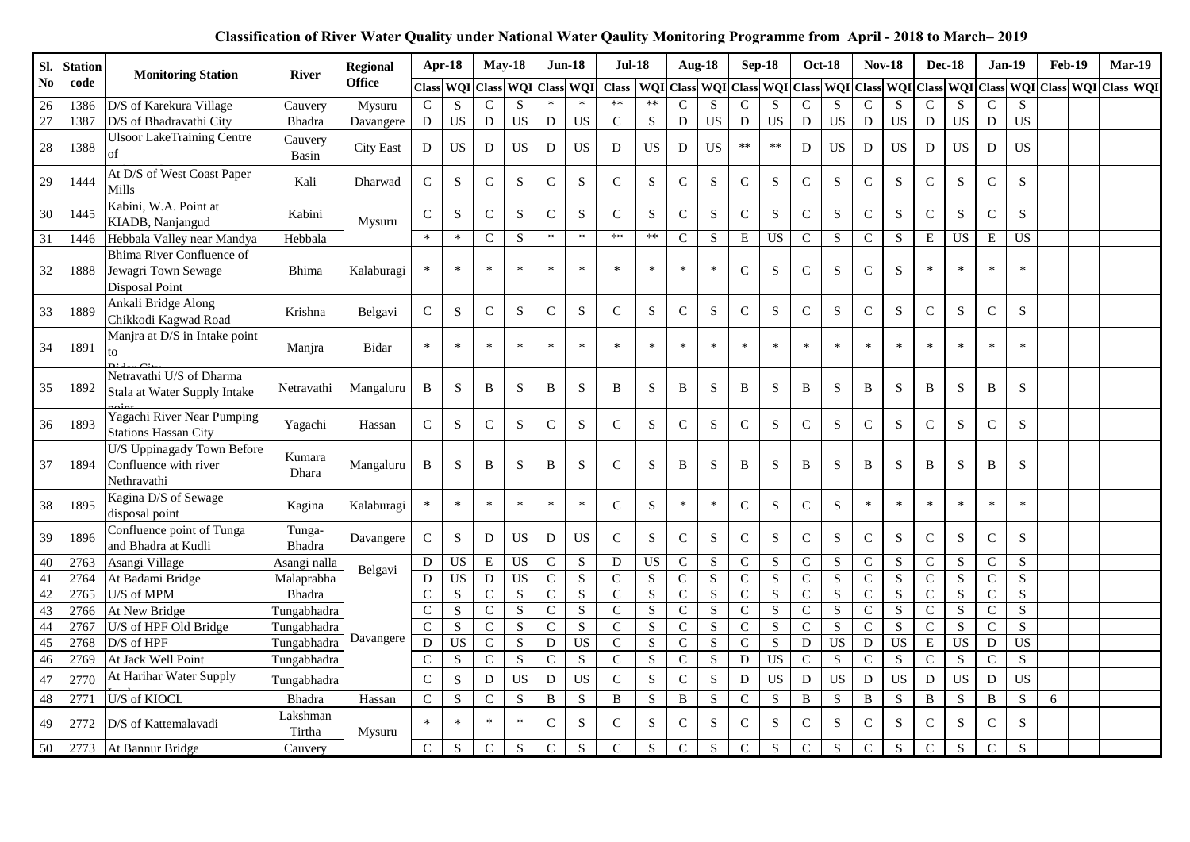| Sl.            | <b>Station</b> | <b>Monitoring Station</b>                                                 | <b>River</b>       | <b>Regional</b>  |                | Apr-18                 | <b>May-18</b>  |                         | <b>Jun-18</b>  |             | <b>Jul-18</b>  |                 | <b>Aug-18</b>                     |                 |                | $Sep-18$        |                | <b>Oct-18</b>   | <b>Nov-18</b>  |                         | <b>Dec-18</b>  |                     |               | <b>Jan-19</b>   | <b>Feb-19</b> |                         | Mar-19 |  |
|----------------|----------------|---------------------------------------------------------------------------|--------------------|------------------|----------------|------------------------|----------------|-------------------------|----------------|-------------|----------------|-----------------|-----------------------------------|-----------------|----------------|-----------------|----------------|-----------------|----------------|-------------------------|----------------|---------------------|---------------|-----------------|---------------|-------------------------|--------|--|
| N <sub>0</sub> | code           |                                                                           |                    | <b>Office</b>    | <b>Class</b>   | <b>WOI</b>             | <b>Class</b>   | <b>WQI</b> Class        |                | <b>WOI</b>  | <b>Class</b>   |                 | <b>WQI</b> Class <b>WQI</b> Class |                 |                | <b>WOI</b>      | Class          | WQI             | <b>Class</b>   |                         |                | WQI Class WQI Class |               |                 |               | WQI Class WQI Class WQI |        |  |
| 26             | 1386           | D/S of Karekura Village                                                   | Cauvery            | Mysuru           | $\mathsf{C}$   | S                      | $\mathsf{C}$   | S                       | $\ast$         | $\ast$      | $**$           | $**$            | $\mathbf C$                       | ${\bf S}$       | $\mathsf{C}$   | ${\bf S}$       | $\mathsf{C}$   | S               | $\mathbf C$    | ${\bf S}$               | $\mathsf{C}$   | S                   | $\mathsf{C}$  | S               |               |                         |        |  |
| 27             | 1387           | D/S of Bhadravathi City                                                   | Bhadra             | Davangere        | ${\bf D}$      | <b>US</b>              | D              | <b>US</b>               | ${\rm D}$      | <b>US</b>   | $\mathcal{C}$  | S               | ${\rm D}$                         | $\overline{US}$ | D              | $\overline{US}$ | D              | $\overline{US}$ | ${\rm D}$      | $\overline{US}$         | D              | <b>US</b>           | $\mathbf D$   | $\overline{US}$ |               |                         |        |  |
| 28             | 1388           | <b>Ulsoor LakeTraining Centre</b><br>of                                   | Cauvery<br>Basin   | <b>City East</b> | D              | <b>US</b>              | D              | <b>US</b>               | D              | <b>US</b>   | D              | <b>US</b>       | D                                 | <b>US</b>       | $\ast\ast$     | $\ast\ast$      | D              | <b>US</b>       | D              | <b>US</b>               | D              | <b>US</b>           | D             | <b>US</b>       |               |                         |        |  |
| 29             | 1444           | At D/S of West Coast Paper<br>Mills                                       | Kali               | Dharwad          | $\mathsf{C}$   | ${\bf S}$              | ${\bf C}$      | ${\bf S}$               | ${\bf C}$      | ${\bf S}$   | $\mathsf{C}$   | ${\bf S}$       | $\mathbf C$                       | ${\bf S}$       | $\mathsf{C}$   | S               | ${\bf C}$      | ${\bf S}$       | ${\bf C}$      | ${\bf S}$               | ${\bf C}$      | ${\bf S}$           | $\mathsf{C}$  | ${\bf S}$       |               |                         |        |  |
| 30             | 1445           | Kabini, W.A. Point at<br>KIADB, Nanjangud                                 | Kabini             | Mysuru           | $\mathsf{C}$   | S                      | $\mathsf{C}$   | S                       | $\mathbf C$    | S           | $\mathcal{C}$  | S               | $\mathsf{C}$                      | S               | $\mathsf{C}$   | S               | $\mathsf{C}$   | S               | $\mathbf C$    | S                       | $\mathbf C$    | S                   | $\mathcal{C}$ | S               |               |                         |        |  |
| 31             | 1446           | Hebbala Valley near Mandya                                                | Hebbala            |                  | $\ast$         | $\ast$                 | $\mathbf C$    | S                       | $\ast$         | $\ast$      | $**$           | $**$            | $\mathsf{C}$                      | ${\bf S}$       | Ε              | <b>US</b>       | $\mathbf C$    | ${\bf S}$       | ${\bf C}$      | ${\bf S}$               | $\mathbf E$    | <b>US</b>           | ${\bf E}$     | <b>US</b>       |               |                         |        |  |
| 32             | 1888           | Bhima River Confluence of<br>Jewagri Town Sewage<br><b>Disposal Point</b> | Bhima              | Kalaburagi       |                | $\ast$                 | $\ast$         | $\ast$                  | $\ast$         | $\ast$      | $\ast$         | $\ast$          | $\ast$                            | $\ast$          | $\mathsf{C}$   | S               | $\mathsf{C}$   | S               | $\mathbf C$    | S                       | $\ast$         | $\ast$              | $\ast$        | $\ast$          |               |                         |        |  |
| 33             | 1889           | Ankali Bridge Along<br>Chikkodi Kagwad Road                               | Krishna            | Belgavi          | $\mathbf C$    | S                      | ${\bf C}$      | S                       | ${\bf C}$      | S           | $\mathsf{C}$   | ${\bf S}$       | $\mathbf C$                       | S               | $\mathbf C$    | S               | ${\bf C}$      | S               | ${\bf C}$      | S                       | $\mathbf C$    | ${\bf S}$           | $\mathbf C$   | ${\bf S}$       |               |                         |        |  |
| 34             | 1891           | Manjra at D/S in Intake point<br>to                                       | Manjra             | Bidar            | $\ast$         | $\ast$                 | $\ast$         | $\ast$                  | $\ast$         | $\ast$      | $\ast$         | $\ast$          | $\ast$                            | $\ast$          | $\ast$         | $\ast$          | $\ast$         |                 | $\ast$         | $\ast$                  | $\ast$         | $\ast$              | $\ast$        | $\ast$          |               |                         |        |  |
| 35             | 1892           | Netravathi U/S of Dharma<br>Stala at Water Supply Intake                  | Netravathi         | Mangaluru        | B              | S                      | B              | ${\bf S}$               | $\, {\bf B}$   | S           | B              | S               | B                                 | ${\bf S}$       | B              | S               | B              | S               | $\, {\bf B}$   | S                       | $\, {\bf B}$   | ${\bf S}$           | B             | S               |               |                         |        |  |
| 36             | 1893           | Yagachi River Near Pumping<br><b>Stations Hassan City</b>                 | Yagachi            | Hassan           | C              | S                      | ${\bf C}$      | S                       | ${\bf C}$      | S           | $\mathcal{C}$  | ${\bf S}$       | $\mathsf{C}$                      | S               | $\mathbf C$    | S               | ${\bf C}$      | S               | ${\bf C}$      | S                       | $\mathbf C$    | ${\bf S}$           | $\mathsf{C}$  | S               |               |                         |        |  |
| 37             | 1894           | U/S Uppinagady Town Before<br>Confluence with river<br>Nethravathi        | Kumara<br>Dhara    | Mangaluru        | B              | S                      | B              | S                       | B              | S           | $\mathcal{C}$  | S               | B                                 | S               | B              | S               | B              | S               | B              | S                       | B              | ${\bf S}$           | B             | S               |               |                         |        |  |
| 38             | 1895           | Kagina D/S of Sewage<br>disposal point                                    | Kagina             | Kalaburagi       | *              | $\ast$                 | $\ast$         | $\ast$                  | $\ast$         | $\ast$      | $\mathsf{C}$   | ${\bf S}$       | $\ast$                            | $\ast$          | $\mathbf C$    | S               | ${\bf C}$      | S               | $\ast$         | $\ast$                  | $\ast$         | $\ast$              | $\ast$        | $\ast$          |               |                         |        |  |
| 39             | 1896           | Confluence point of Tunga<br>and Bhadra at Kudli                          | Tunga-<br>Bhadra   | Davangere        | ${\bf C}$      | S                      | D              | <b>US</b>               | D              | <b>US</b>   | $\mathbf C$    | S               | $\mathbf C$                       | S               | $\mathbf C$    | S               | $\mathbf C$    | S               | ${\bf C}$      | S                       | $\mathbf C$    | ${\bf S}$           | $\mathsf{C}$  | S               |               |                         |        |  |
| 40             | 2763           | Asangi Village                                                            | Asangi nalla       | Belgavi          | ${\rm D}$      | $\mathbf{U}\mathbf{S}$ | ${\bf E}$      | <b>US</b>               | ${\bf C}$      | ${\bf S}$   | $\mathbf D$    | $\overline{US}$ | $\mathbf C$                       | ${\bf S}$       | ${\bf C}$      | ${\bf S}$       | $\mathbf C$    | ${\bf S}$       | ${\bf C}$      | ${\bf S}$               | $\mathsf{C}$   | ${\bf S}$           | $\mathsf{C}$  | ${\bf S}$       |               |                         |        |  |
| 41             | 2764           | At Badami Bridge                                                          | Malaprabha         |                  | $\overline{D}$ | $\overline{US}$        | $\overline{D}$ | $\overline{US}$         | $\overline{C}$ | S           | $\mathbf C$    | $\mathbf S$     | $\mathsf{C}$                      | S               | $\mathsf{C}$   | ${\bf S}$       | $\mathbf{C}$   | ${\bf S}$       | $\overline{C}$ | ${\bf S}$               | $\mathbf C$    | S                   | $\mathbf C$   | ${\bf S}$       |               |                         |        |  |
| 42             | 2765           | U/S of MPM                                                                | <b>Bhadra</b>      |                  | $\mathsf{C}$   | ${\bf S}$              | ${\bf C}$      | ${\bf S}$               | ${\bf C}$      | S           | $\mathsf{C}$   | S               | $\mathsf{C}$                      | S               | $\mathbf C$    | S               | $\mathbf C$    | S               | ${\bf C}$      | S                       | $\mathsf{C}$   | S                   | $\mathsf{C}$  | S               |               |                         |        |  |
| 43             | 2766           | At New Bridge                                                             | Tungabhadra        |                  | $\mathsf{C}$   | S                      | $\overline{C}$ | $\overline{\mathbf{S}}$ | $\overline{C}$ | $\mathbf S$ | $\mathbf C$    | ${\bf S}$       | $\overline{C}$                    | $\overline{S}$  | $\overline{C}$ | $\overline{S}$  | $\overline{C}$ | $\overline{S}$  | $\overline{C}$ | $\overline{S}$          | $\mathsf{C}$   | S                   | $\mathbf C$   | ${\bf S}$       |               |                         |        |  |
| 44             | 2767           | U/S of HPF Old Bridge                                                     | Tungabhadra        | Davangere        | $\mathsf{C}$   | S                      | $\mathbf C$    | S                       | $\overline{C}$ | $\mathbf S$ | $\mathbf C$    | ${\bf S}$       | $\mathbf C$                       | S               | $\mathbf{C}$   | S               | $\mathbf{C}$   | ${\bf S}$       | $\overline{C}$ | ${\bf S}$               | $\mathbf C$    | S                   | $\mathbf C$   | ${\bf S}$       |               |                         |        |  |
| 45             | 2768           | $D/S$ of $HPF$                                                            | Tungabhadra        |                  | $\overline{D}$ | <b>US</b>              | $\mathbf C$    | ${\bf S}$               | $\mathbf D$    | <b>US</b>   | $\mathbf C$    | ${\bf S}$       | $\mathbf C$                       | ${\bf S}$       | $\mathsf C$    | ${\bf S}$       | $\mathbf D$    | $\overline{US}$ | $\mathbf D$    | US                      | ${\bf E}$      | US                  | ${\rm D}$     | $\overline{US}$ |               |                         |        |  |
| 46             | 2769           | At Jack Well Point                                                        | Tungabhadra        |                  | $\mathsf{C}$   | S                      | $\overline{C}$ | $\overline{S}$          | $\overline{C}$ | ${\bf S}$   | $\overline{C}$ | $\overline{S}$  | $\overline{C}$                    | $\overline{S}$  | ${\bf D}$      | $\overline{US}$ | $\overline{C}$ | $\overline{S}$  | $\overline{C}$ | $\overline{\mathbf{S}}$ | $\mathsf{C}$   | ${\bf S}$           | $\mathbf C$   | $\overline{S}$  |               |                         |        |  |
| 47             | 2770           | At Harihar Water Supply                                                   | Tungabhadra        |                  | $\mathsf{C}$   | $\mathbf S$            | ${\bf D}$      | <b>US</b>               | ${\bf D}$      | <b>US</b>   | $\mathbf C$    | ${\bf S}$       | $\mathsf C$                       | ${\bf S}$       | D              | <b>US</b>       | $\mathbf D$    | <b>US</b>       | $\mathbf D$    | US                      | ${\bf D}$      | US                  | $\mathbf D$   | US              |               |                         |        |  |
| 48             | 2771           | U/S of KIOCL                                                              | Bhadra             | Hassan           | $\mathsf{C}$   | S                      | $\mathbf C$    | S                       | $\, {\bf B}$   | S           | $\, {\bf B}$   | S               | $\, {\bf B}$                      | S               | $\mathsf{C}$   | S               | B              | ${\bf S}$       | $\, {\bf B}$   | S                       | B              | ${\bf S}$           | $\, {\bf B}$  | ${\bf S}$       | 6             |                         |        |  |
| 49             | 2772           | D/S of Kattemalavadi                                                      | Lakshman<br>Tirtha | Mysuru           | $\ast$         | $\ast$                 | $\ast$         | $\ast$                  | $\mathbf C$    | S           | $\mathcal{C}$  | ${\bf S}$       | $\mathbf C$                       | S               | $\mathsf{C}$   | ${\bf S}$       | $\mathbf C$    | ${\bf S}$       | $\mathbf C$    | ${\bf S}$               | $\mathsf{C}$   | ${\bf S}$           | $\mathsf{C}$  | S               |               |                         |        |  |
| 50             | 2773           | At Bannur Bridge                                                          | Cauvery            |                  | $\mathbf{C}$   | ${\bf S}$              | $\mathsf{C}$   | ${\bf S}$               | $\mathbf C$    | $\mathbf S$ | $\mathbf C$    | ${\bf S}$       | $\mathbf C$                       | $\mathbf S$     | $\overline{C}$ | S               | $\mathbf C$    | $\mathbf S$     | $\mathbf C$    | S                       | $\overline{C}$ | S                   | $\mathbf C$   | S               |               |                         |        |  |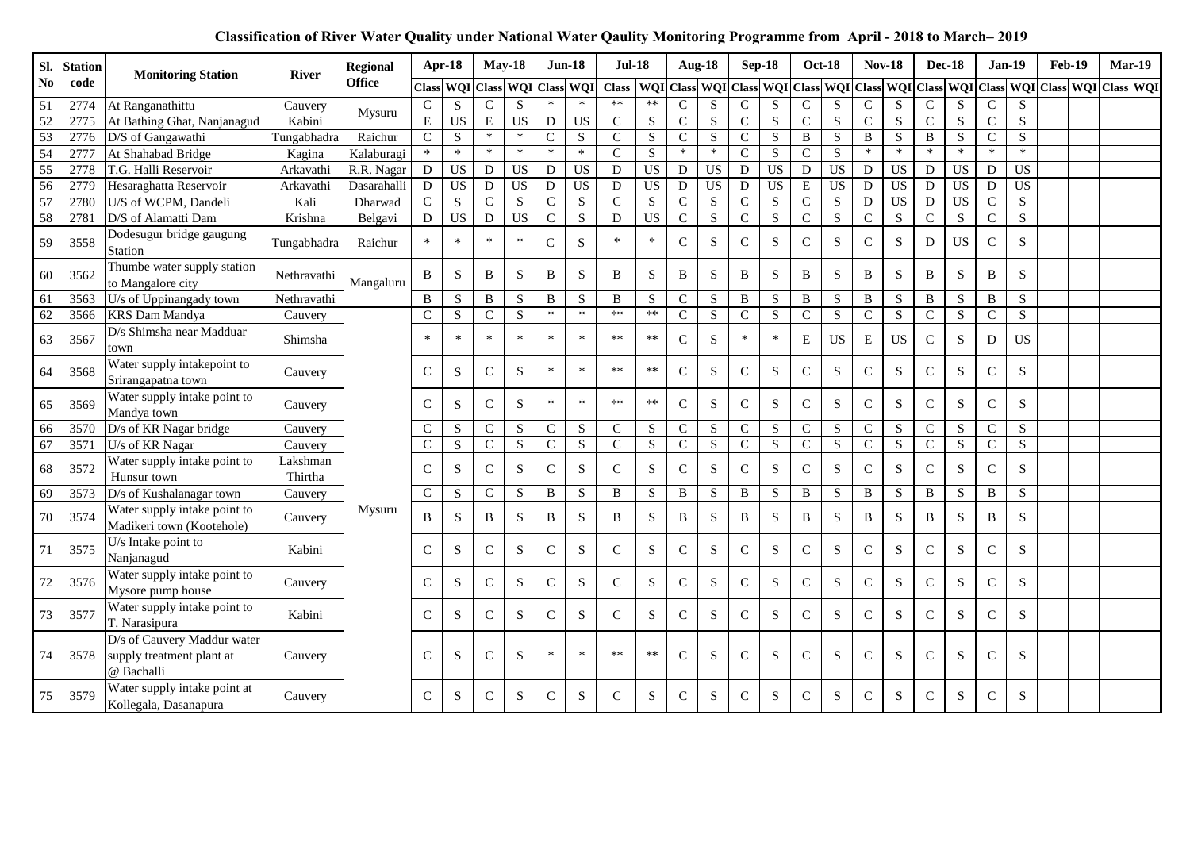| SI.                    | <b>Station</b> | <b>Monitoring Station</b>                                              | <b>River</b>        | <b>Regional</b> |                | Apr-18              | <b>May-18</b>  |                 | <b>Jun-18</b>  |                 | <b>Jul-18</b>                       |                         |                | <b>Aug-18</b>           | Sep-18         |                         |                | <b>Oct-18</b>   | <b>Nov-18</b>  |                 | <b>Dec-18</b>  |                 | <b>Jan-19</b>  |                | <b>Feb-19</b>                                 | <b>Mar-19</b>    |
|------------------------|----------------|------------------------------------------------------------------------|---------------------|-----------------|----------------|---------------------|----------------|-----------------|----------------|-----------------|-------------------------------------|-------------------------|----------------|-------------------------|----------------|-------------------------|----------------|-----------------|----------------|-----------------|----------------|-----------------|----------------|----------------|-----------------------------------------------|------------------|
| $\mathbf{N}\mathbf{0}$ | code           |                                                                        |                     | <b>Office</b>   |                | Class WQI Class WQI |                |                 | <b>Class</b>   | WQI             | Class   WQI Class   WQI Class   WQI |                         |                |                         |                |                         |                | Class WQI Class |                |                 |                |                 |                |                | WQI   Class   WQI   Class   WQI   Class   WQI | <b>Class WQI</b> |
| 51                     | 2774           | At Ranganathittu                                                       | Cauvery             | Mysuru          | ${\bf C}$      | ${\bf S}$           | $\mathsf{C}$   | S               | $\ast$         | $\ast$          | $**$                                | $**$                    | $\mathbf C$    | ${\bf S}$               | $\mathsf{C}$   | ${\bf S}$               | $\mathbf C$    | S               | $\mathbf C$    | ${\bf S}$       | $\mathbf C$    | S               | $\mathsf{C}$   | S              |                                               |                  |
| $\overline{52}$        | 2775           | At Bathing Ghat, Nanjanagud                                            | Kabini              |                 | ${\bf E}$      | $\overline{US}$     | $\overline{E}$ | $\overline{US}$ | ${\bf D}$      | $\overline{US}$ | $\mathbf C$                         | S                       | $\mathbf C$    | S                       | $\mathbf{C}$   | S                       | $\mathbf C$    | S               | $\overline{C}$ | S               | $\mathbf C$    | S               | $\mathbf C$    | S              |                                               |                  |
| $\overline{53}$        | 2776           | D/S of Gangawathi                                                      | Tungabhadra         | Raichur         | $\mathbf C$    | S                   | $\ast$         | $\ast$          | $\mathbf C$    | ${\bf S}$       | $\mathcal{C}$                       | ${\bf S}$               | $\mathbf C$    | S                       | $\mathsf{C}$   | S                       | B              | ${\bf S}$       | $\bf{B}$       | S               | B              | S               | $\mathbf C$    | S              |                                               |                  |
| 54                     | 2777           | At Shahabad Bridge                                                     | Kagina              | Kalaburagi      | $\ast$         | $\ast$              | $*$            | $\ast$          | $\ast$         | $\ast$          | $\mathbf C$                         | S                       | $\ast$         | $\ast$                  | $\mathbf C$    | S                       | $\mathbf{C}$   | $\mathbf S$     | $\ast$         | $\ast$          | $\ast$         | $\ast$          | $\ast$         | $\ast$         |                                               |                  |
| 55                     | 2778           | T.G. Halli Reservoir                                                   | Arkavathi           | R.R. Nagar      | ${\bf D}$      | $\overline{US}$     | D              | $\overline{US}$ | D              | <b>US</b>       | D                                   | <b>US</b>               | D              | <b>US</b>               | D              | $\overline{US}$         | $\mathbf D$    | $\overline{US}$ | D              | $\overline{US}$ | $\mathbf D$    | $\overline{US}$ | ${\rm D}$      | <b>US</b>      |                                               |                  |
| 56                     | 2779           | Hesaraghatta Reservoir                                                 | Arkavathi           | Dasarahalli     | D              | US                  | D              | <b>US</b>       | ${\bf D}$      | <b>US</b>       | D                                   | $\overline{US}$         | $\mathbf D$    | <b>US</b>               | ${\rm D}$      | $\overline{US}$         | ${\bf E}$      | US              | ${\rm D}$      | $\overline{US}$ | ${\bf D}$      | <b>US</b>       | ${\bf D}$      | <b>US</b>      |                                               |                  |
| $\overline{57}$        | 2780           | U/S of WCPM, Dandeli                                                   | Kali                | Dharwad         | $\overline{C}$ | $\overline{S}$      | $\overline{C}$ | $\overline{S}$  | $\overline{C}$ | $\mathbf S$     | $\overline{C}$                      | $\overline{S}$          | $\overline{C}$ | $\overline{S}$          | $\overline{C}$ | $\overline{\mathbf{S}}$ | $\overline{C}$ | $\overline{S}$  | $\overline{D}$ | <b>US</b>       | $\overline{D}$ | <b>US</b>       | $\overline{C}$ | $\overline{S}$ |                                               |                  |
| 58                     | 2781           | D/S of Alamatti Dam                                                    | Krishna             | Belgavi         | $\mathbf{D}$   | <b>US</b>           | $\mathbf D$    | <b>US</b>       | $\overline{C}$ | S               | D                                   | $\overline{US}$         | $\mathbf C$    | $\overline{\mathbf{S}}$ | $\mathbf{C}$   | $\overline{S}$          | $\overline{C}$ | $\overline{S}$  | $\overline{C}$ | S               | $\mathsf{C}$   | S               | $\mathbf C$    | S              |                                               |                  |
| 59                     | 3558           | Dodesugur bridge gaugung<br>Station                                    | Tungabhadra         | Raichur         | $\ast$         | $\ast$              | $\ast$         |                 | $\mathbf C$    | S               | $\ast$                              | $\ast$                  | $\mathsf{C}$   | S                       | $\mathcal{C}$  | ${\bf S}$               | $\mathbf C$    | ${\bf S}$       | $\mathbf C$    | ${\bf S}$       | D              | <b>US</b>       | $\mathsf{C}$   | S              |                                               |                  |
| 60                     | 3562           | Thumbe water supply station<br>to Mangalore city                       | Nethravathi         | Mangaluru       | B              | S                   | B              | S               | B              | S               | B                                   | S                       | B              | S                       | B              | S                       | B              | S               | B              | S               | B              | S               | B              | S              |                                               |                  |
| 61                     | 3563           | U/s of Uppinangady town                                                | Nethravathi         |                 | $\mathbf{B}$   | S                   | B              | S               | $\, {\bf B}$   | $\mathbf S$     | B                                   | S                       | $\mathbf C$    | S                       | B              | S                       | B              | ${\bf S}$       | $\, {\bf B}$   | ${\bf S}$       | $\, {\bf B}$   | ${\bf S}$       | $\bf{B}$       | $\overline{S}$ |                                               |                  |
| 62                     | 3566           | <b>KRS Dam Mandya</b>                                                  | Cauvery             |                 | $\mathsf{C}$   | S                   | $\mathbf C$    | S               | $\ast$         | $\ast$          | $**$                                | $\ast\ast$              | $\mathbf C$    | S                       | $\mathbf C$    | S                       | $\mathbf{C}$   | ${\bf S}$       | $\overline{C}$ | ${\bf S}$       | $\mathbf C$    | $\mathbf S$     | $\mathsf{C}$   | S              |                                               |                  |
| 63                     | 3567           | D/s Shimsha near Madduar<br>town                                       | Shimsha             |                 | $\ast$         | $\ast$              | $\ast$         | ×               | $\ast$         | $\ast$          | $**$                                | $**$                    | $\mathsf{C}$   | S                       | $\ast$         | $\ast$                  | E              | <b>US</b>       | ${\bf E}$      | <b>US</b>       | $\mathbf C$    | S               | D              | US             |                                               |                  |
| 64                     | 3568           | Water supply intakepoint to<br>Srirangapatna town                      | Cauvery             |                 | $\mathsf{C}$   | S                   | C              | S               | $\ast$         | $\ast$          | $**$                                | $**$                    | $\mathsf{C}$   | ${\bf S}$               | $\mathsf{C}$   | S                       | $\mathsf{C}$   | S               | ${\bf C}$      | ${\bf S}$       | $\mathsf{C}$   | ${\bf S}$       | $\mathsf{C}$   | S              |                                               |                  |
| 65                     | 3569           | Water supply intake point to<br>Mandya town                            | Cauvery             |                 | $\mathsf{C}$   | S                   | $\mathbf C$    | S               | $\ast$         | $\ast$          | $**$                                | $**$                    | $\mathbf C$    | S                       | $\mathbf C$    | S                       | $\mathbf C$    | S               | $\mathbf C$    | ${\bf S}$       | $\mathbf C$    | S               | $\mathbf C$    | S              |                                               |                  |
| 66                     | 3570           | D/s of KR Nagar bridge                                                 | Cauvery             |                 | $\mathsf{C}$   | ${\bf S}$           | $\mathsf{C}$   | ${\bf S}$       | $\mathsf C$    | ${\bf S}$       | $\mathbf C$                         | ${\bf S}$               | ${\bf C}$      | ${\bf S}$               | $\mathsf C$    | ${\bf S}$               | $\mathsf{C}$   | ${\bf S}$       | ${\bf C}$      | ${\bf S}$       | ${\bf C}$      | ${\bf S}$       | ${\bf C}$      | S              |                                               |                  |
| 67                     | 3571           | U/s of KR Nagar                                                        | Cauvery             |                 | $\overline{C}$ | $\overline{S}$      | $\overline{C}$ | $\overline{S}$  | $\overline{C}$ | $\overline{S}$  | $\overline{C}$                      | $\overline{\mathbf{S}}$ | $\overline{C}$ | $\overline{S}$          | $\overline{C}$ | $\overline{S}$          | $\overline{C}$ | $\overline{S}$  | $\overline{C}$ | $\overline{S}$  | $\overline{C}$ | $\overline{S}$  | $\mathbf C$    | S              |                                               |                  |
| 68                     | 3572           | Water supply intake point to<br>Hunsur town                            | Lakshman<br>Thirtha |                 | $\mathsf{C}$   | S                   | $\mathbf C$    | S               | $\mathsf{C}$   | S               | $\mathcal{C}$                       | S                       | $\mathsf{C}$   | S                       | $\mathsf{C}$   | S                       | $\mathsf{C}$   | S               | ${\bf C}$      | S               | $\mathsf{C}$   | ${\bf S}$       | $\mathsf{C}$   | S              |                                               |                  |
| 69                     | 3573           | D/s of Kushalanagar town                                               | Cauvery             |                 | $\mathbf C$    | S                   | $\mathsf{C}$   | ${\bf S}$       | $\, {\bf B}$   | S               | $\mathbf B$                         | ${\bf S}$               | $\, {\bf B}$   | ${\bf S}$               | $\, {\bf B}$   | S                       | B              | ${\bf S}$       | $\, {\bf B}$   | ${\bf S}$       | $\, {\bf B}$   | $\mathbf S$     | $\mathbf B$    | S              |                                               |                  |
| 70                     | 3574           | Water supply intake point to<br>Madikeri town (Kootehole)              | Cauvery             | Mysuru          | B              | S                   | B              | S               | B              | S               | B                                   | S                       | B              | S                       | B              | S                       | B              | S               | B              | S               | B              | ${\bf S}$       | B              | S              |                                               |                  |
| 71                     | 3575           | U/s Intake point to<br>Nanjanagud                                      | Kabini              |                 | $\mathsf{C}$   | S                   | C              | S               | ${\bf C}$      | S               | $\mathcal{C}$                       | S                       | ${\bf C}$      | S                       | $\mathbf C$    | S                       | $\mathsf{C}$   | S               | ${\bf C}$      | S               | $\mathsf{C}$   | ${\bf S}$       | $\mathbf C$    | S              |                                               |                  |
| 72                     | 3576           | Water supply intake point to<br>Mysore pump house                      | Cauvery             |                 | $\mathsf{C}$   | ${\bf S}$           | $\mathbf C$    | S               | $\mathbf C$    | ${\bf S}$       | $\mathcal{C}$                       | S                       | $\mathbf C$    | S                       | $\mathsf{C}$   | ${\bf S}$               | $\mathsf{C}$   | S               | $\mathbf C$    | ${\bf S}$       | $\mathbf C$    | S               | $\mathsf{C}$   | S              |                                               |                  |
| 73                     | 3577           | Water supply intake point to<br>T. Narasipura                          | Kabini              |                 | $\mathsf{C}$   | S                   | $\mathbf C$    | S               | $\mathbf C$    | ${\bf S}$       | $\mathcal{C}$                       | S                       | ${\bf C}$      | ${\bf S}$               | $\mathbf C$    | S                       | $\mathbf C$    | S               | ${\bf C}$      | S               | $\mathbf C$    | ${\bf S}$       | $\mathbf C$    | S              |                                               |                  |
| 74                     | 3578           | D/s of Cauvery Maddur water<br>supply treatment plant at<br>@ Bachalli | Cauvery             |                 | $\mathcal{C}$  | S                   | $\mathsf{C}$   | S               | $\ast$         | $\ast$          | $**$                                | $**$                    | $\mathcal{C}$  | S                       | $\mathbf C$    | S                       | $\mathcal{C}$  | S               | ${\bf C}$      | S               | $\mathcal{C}$  | S               | $\mathsf{C}$   | S              |                                               |                  |
| 75                     | 3579           | Water supply intake point at<br>Kollegala, Dasanapura                  | Cauvery             |                 | $\mathsf{C}$   | S                   | $\mathsf{C}$   | S               | $\mathsf{C}$   | S               | $\mathcal{C}$                       | S                       | C              | S                       | $\mathsf{C}$   | S                       | C              | S               | $\mathsf{C}$   | S               | $\mathsf{C}$   | S               | $\mathsf{C}$   | <sub>S</sub>   |                                               |                  |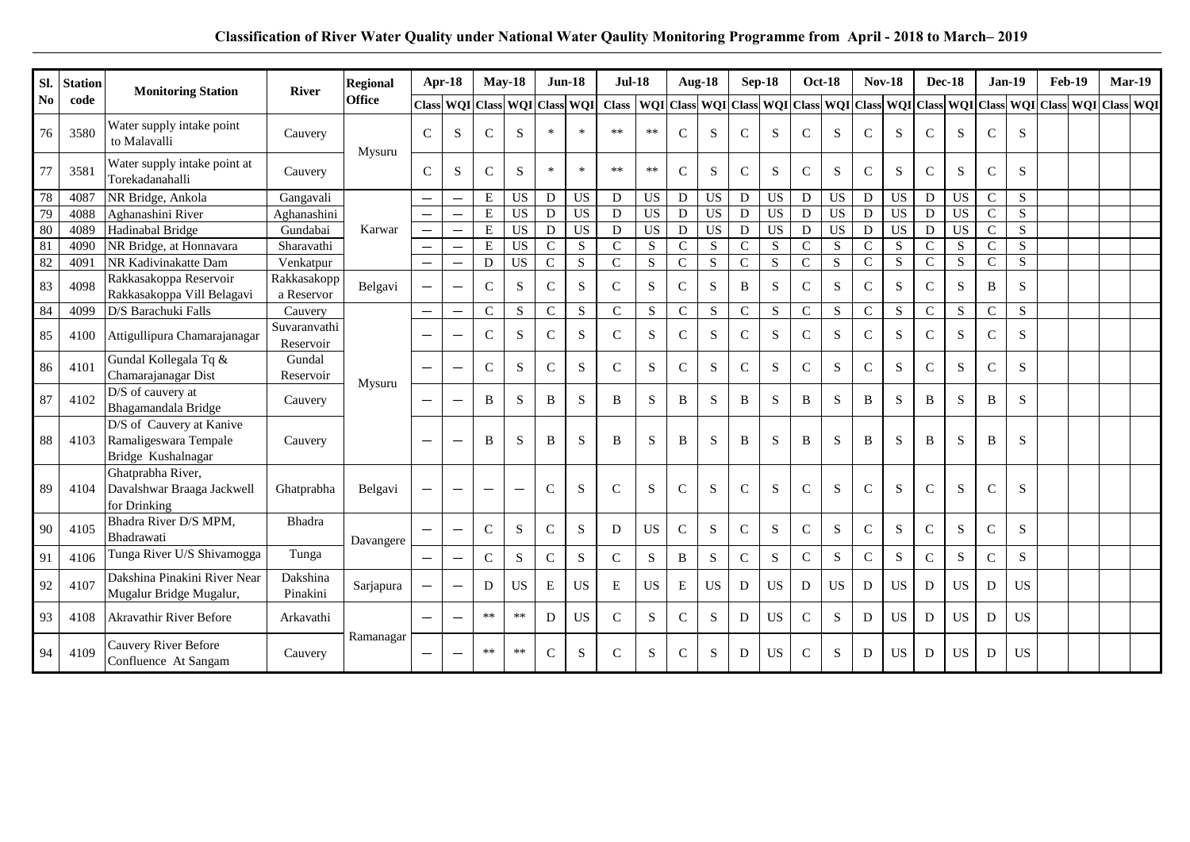| Sl.                    | <b>Station</b> | <b>Monitoring Station</b>                                               | <b>River</b>              | <b>Regional</b> |                                 | Apr-18                        | <b>May-18</b>            |                 | $Jun-18$       |                 | <b>Jul-18</b> |                 | <b>Aug-18</b> |                 |                | $Sep-18$               | <b>Oct-18</b>  |                         | <b>Nov-18</b>  |                 | <b>Dec-18</b>  |                 | $Jan-19$       |                | <b>Feb-19</b>                                                                                                                                                                                                                 | Mar-19 |  |
|------------------------|----------------|-------------------------------------------------------------------------|---------------------------|-----------------|---------------------------------|-------------------------------|--------------------------|-----------------|----------------|-----------------|---------------|-----------------|---------------|-----------------|----------------|------------------------|----------------|-------------------------|----------------|-----------------|----------------|-----------------|----------------|----------------|-------------------------------------------------------------------------------------------------------------------------------------------------------------------------------------------------------------------------------|--------|--|
| $\mathbf{N}\mathbf{o}$ | code           |                                                                         |                           | <b>Office</b>   |                                 | Class WQI Class WQI Class WQI |                          |                 |                |                 |               |                 |               |                 |                |                        |                |                         |                |                 |                |                 |                |                | Class   WQI Class   WQI Class   WQI Class   WQI Class   WQI Class   WQI Class   WQI Class   WQI Class   WQI Class   WQI Class   WQI Class   WQI Class   WQI Class   WQI Class   WQI Class   WQI Class   WQI Class   WQI Class |        |  |
| 76                     | 3580           | Water supply intake point<br>to Malavalli                               | Cauvery                   | Mysuru          | $\mathcal{C}$                   | <sub>S</sub>                  | $\mathcal{C}$            | S               | $\ast$         |                 | **            | $**$            | $\mathcal{C}$ | S               | $\mathcal{C}$  | S                      | $\mathsf{C}$   | S                       | $\mathbf C$    | S               | $\mathsf{C}$   | S               | $\mathcal{C}$  | S              |                                                                                                                                                                                                                               |        |  |
| 77                     | 3581           | Water supply intake point at<br>Torekadanahalli                         | Cauvery                   |                 | $\mathcal{C}$                   | S                             | $\mathcal{C}$            | S.              | $\ast$         | $*$             | **            | $**$            | $\mathcal{C}$ | S               | $\mathcal{C}$  | S                      | $\mathsf{C}$   | S.                      | $\mathsf{C}$   | S               | $\mathcal{C}$  | S               | $\mathcal{C}$  | <sub>S</sub>   |                                                                                                                                                                                                                               |        |  |
| $78\,$                 | 4087           | NR Bridge, Ankola                                                       | Gangavali                 |                 |                                 | $\overline{\phantom{m}}$      | E                        | US              | D              | <b>US</b>       | D             | <b>US</b>       | D             | <b>US</b>       | D              | $\mathbf{U}\mathbf{S}$ | D              | <b>US</b>               | D              | <b>US</b>       | D              | <b>US</b>       | ${\bf C}$      | S              |                                                                                                                                                                                                                               |        |  |
| 79                     | 4088           | Aghanashini River                                                       | Aghanashini               |                 |                                 |                               | $\overline{E}$           | $\overline{US}$ | ${\bf D}$      | $\overline{US}$ | D             | $\overline{US}$ | ${\bf D}$     | <b>US</b>       | $\overline{D}$ | U <sub>S</sub>         | $\overline{D}$ | <b>US</b>               | $\overline{D}$ | <b>US</b>       | $\overline{D}$ | $\overline{US}$ | $\overline{C}$ | $\overline{S}$ |                                                                                                                                                                                                                               |        |  |
| 80                     | 4089           | Hadinabal Bridge                                                        | Gundabai                  | Karwar          |                                 |                               | ${\bf E}$                | $\overline{US}$ | D              | <b>US</b>       | D             | <b>US</b>       | ${\rm D}$     | $\overline{US}$ | D              | $\overline{US}$        | $\mathbf D$    | $\overline{US}$         | ${\bf D}$      | $\overline{US}$ | ${\bf D}$      | <b>US</b>       | $\mathsf{C}$   | ${\bf S}$      |                                                                                                                                                                                                                               |        |  |
| 81                     | 4090           | NR Bridge, at Honnavara                                                 | Sharavathi                |                 |                                 |                               | ${\bf E}$                | <b>US</b>       | $\overline{C}$ | $\mathbf S$     | $\mathcal{C}$ | S               | $\mathbf C$   | $\overline{S}$  | $\overline{C}$ | $\overline{S}$         | $\overline{C}$ | $\overline{\mathbf{S}}$ | $\overline{C}$ | $\overline{S}$  | $\overline{C}$ | ${\bf S}$       | $\mathbf C$    | S              |                                                                                                                                                                                                                               |        |  |
| 82                     | 4091           | NR Kadivinakatte Dam                                                    | Venkatpur                 |                 | $\overbrace{\phantom{1232211}}$ |                               | ${\bf D}$                | $\overline{US}$ | $\overline{C}$ | S               | $\mathbf C$   | $\mathbf S$     | $\mathsf{C}$  | $\overline{S}$  | $\overline{C}$ | $\overline{S}$         | $\overline{C}$ | $\overline{S}$          | $\overline{C}$ | $\mathbf S$     | $\mathbf C$    | $\mathbf S$     | $\mathbf C$    | S              |                                                                                                                                                                                                                               |        |  |
| 83                     | 4098           | Rakkasakoppa Reservoir<br>Rakkasakoppa Vill Belagavi                    | Rakkasakopp<br>a Reservor | Belgavi         |                                 |                               | $\mathbf C$              | S               | $\mathbf C$    | S               | $\mathcal{C}$ | S               | $\mathcal{C}$ | S               | B              | S                      | $\mathbf{C}$   | S                       | $\mathsf{C}$   | S               | $\mathsf{C}$   | S               | B              | S              |                                                                                                                                                                                                                               |        |  |
| 84                     | 4099           | D/S Barachuki Falls                                                     | Cauvery                   |                 |                                 | $\qquad \qquad -$             | $\mathbf{C}$             | S               | $\mathbf C$    | $\mathbf S$     | $\mathbf C$   | ${\bf S}$       | $\mathbf C$   | S               | $\mathbf{C}$   | S                      | $\mathbf{C}$   | $\overline{S}$          | $\overline{C}$ | S               | $\overline{C}$ | $\mathbf S$     | $\mathsf{C}$   | $\overline{S}$ |                                                                                                                                                                                                                               |        |  |
| 85                     | 4100           | Attigullipura Chamarajanagar                                            | Suvaranvathi<br>Reservoir |                 |                                 |                               | $\mathcal{C}$            | S               | $\mathsf{C}$   | S               | $\mathcal{C}$ | S               | $\mathbf C$   | S.              | $\mathcal{C}$  | S                      | $\mathcal{C}$  | S                       | $\mathsf{C}$   | S               | $\mathsf{C}$   | S               | $\mathcal{C}$  | S              |                                                                                                                                                                                                                               |        |  |
| 86                     | 4101           | Gundal Kollegala Tq &<br>Chamarajanagar Dist                            | Gundal<br>Reservoir       | Mysuru          |                                 |                               | $\mathbf C$              | S               | $\mathbf C$    | S               | $\mathcal{C}$ | S               | $\mathbf C$   | S.              | $\mathcal{C}$  | S                      | $\mathbf{C}$   | S                       | $\mathsf{C}$   | S               | $\mathsf{C}$   | S               | $\mathcal{C}$  | S              |                                                                                                                                                                                                                               |        |  |
| 87                     | 4102           | D/S of cauvery at<br>Bhagamandala Bridge                                | Cauvery                   |                 |                                 |                               | B                        | S               | B              | S               | B             | S               | B             | S               | B              | S                      | B              | S                       | B              | S               | B              | S               | B              | S              |                                                                                                                                                                                                                               |        |  |
| 88                     | 4103           | D/S of Cauvery at Kanive<br>Ramaligeswara Tempale<br>Bridge Kushalnagar | Cauvery                   |                 |                                 |                               | B                        | S               | B              | S               | B             | S               | B             | S               | B              | S                      | B              | S                       | B              | S               | B              | S               | B              | S              |                                                                                                                                                                                                                               |        |  |
| 89                     | 4104           | Ghatprabha River,<br>Davalshwar Braaga Jackwell<br>for Drinking         | Ghatprabha                | Belgavi         |                                 |                               | $\overline{\phantom{0}}$ |                 | $\mathsf{C}$   | S               | $\mathcal{C}$ | S               | $\mathbf C$   | S               | $\mathcal{C}$  | S                      | $\mathcal{C}$  | S                       | $\mathcal{C}$  | S               | $\mathcal{C}$  | S               | $\mathsf{C}$   | S              |                                                                                                                                                                                                                               |        |  |
| 90                     | 4105           | Bhadra River D/S MPM,<br>Bhadrawati                                     | Bhadra                    | Davangere       |                                 |                               | $\mathsf{C}$             | ${\bf S}$       | ${\bf C}$      | S               | D             | <b>US</b>       | $\mathbf C$   | S               | $\mathbf C$    | S                      | $\mathbf C$    | ${\bf S}$               | $\mathbf C$    | S               | $\mathbf C$    | ${\bf S}$       | $\mathbf C$    | S              |                                                                                                                                                                                                                               |        |  |
| 91                     | 4106           | Tunga River U/S Shivamogga                                              | Tunga                     |                 |                                 | $\overline{\phantom{0}}$      | ${\bf C}$                | S               | $\mathsf{C}$   | S               | $\mathcal{C}$ | S               | B             | S               | ${\bf C}$      | ${\bf S}$              | $\mathsf{C}$   | S                       | $\mathbf C$    | S               | $\mathbf C$    | ${\bf S}$       | $\mathsf{C}$   | S              |                                                                                                                                                                                                                               |        |  |
| 92                     | 4107           | Dakshina Pinakini River Near<br>Mugalur Bridge Mugalur,                 | Dakshina<br>Pinakini      | Sarjapura       |                                 |                               | D                        | <b>US</b>       | E              | <b>US</b>       | E             | <b>US</b>       | E             | <b>US</b>       | D              | <b>US</b>              | D              | <b>US</b>               | D              | <b>US</b>       | ${\rm D}$      | <b>US</b>       | D              | <b>US</b>      |                                                                                                                                                                                                                               |        |  |
| 93                     | 4108           | <b>Akravathir River Before</b>                                          | Arkavathi                 |                 |                                 |                               | **                       | $**$            | D              | <b>US</b>       | $\mathcal{C}$ | S               | $\mathsf{C}$  | S               | D              | <b>US</b>              | $\mathbf C$    | S                       | D              | <b>US</b>       | D              | <b>US</b>       | D              | <b>US</b>      |                                                                                                                                                                                                                               |        |  |
| 94                     | 4109           | Cauvery River Before<br>Confluence At Sangam                            | Cauvery                   | Ramanagar       |                                 |                               | $**$                     | $**$            | $\mathsf{C}$   | S               | $\mathcal{C}$ | S               | $\mathcal{C}$ | S               | D              | <b>US</b>              | $\mathsf{C}$   | S                       | D              | <b>US</b>       | D              | <b>US</b>       | D              | <b>US</b>      |                                                                                                                                                                                                                               |        |  |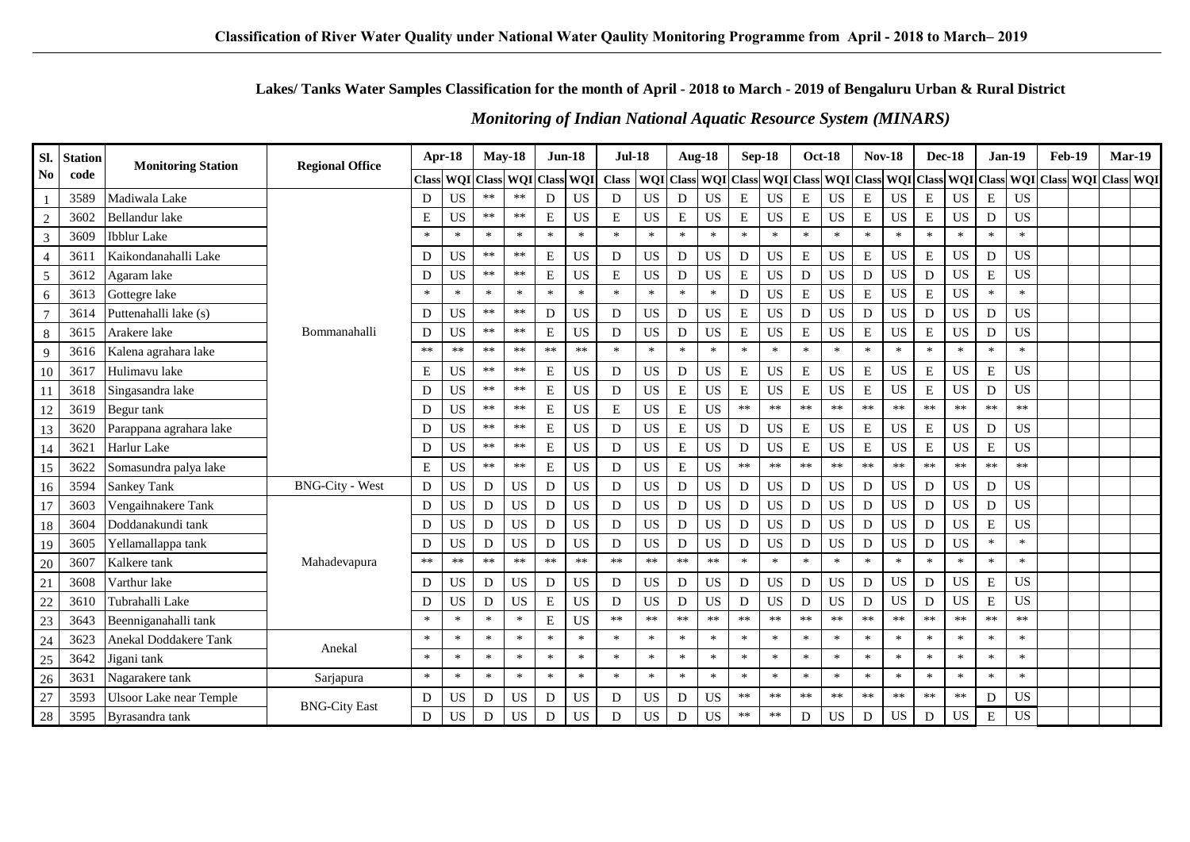## Lakes/Tanks Water Samples Classification for the month of April - 2018 to March - 2019 of Bengaluru Urban & Rural District

| SI.             | <b>Station</b> | <b>Monitoring Station</b>      | <b>Regional Office</b> |            | Apr-18                 |        | $May-18$   |              | $Jun-18$   | <b>Jul-18</b> |            |                  | <b>Aug-18</b> |                  | Sep-18     |            | <b>Oct-18</b>       | <b>Nov-18</b> |                  |             | <b>Dec-18</b> |           | $Jan-19$  | Feb-19 | Mar-19                           |  |
|-----------------|----------------|--------------------------------|------------------------|------------|------------------------|--------|------------|--------------|------------|---------------|------------|------------------|---------------|------------------|------------|------------|---------------------|---------------|------------------|-------------|---------------|-----------|-----------|--------|----------------------------------|--|
| No              | code           |                                |                        |            | <b>Class WOI Class</b> |        | WQI        | <b>Class</b> | WQI        | <b>Class</b>  |            | <b>WQI</b> Class |               | <b>WQI</b> Class |            |            | WQI Class WQI Class |               | <b>WQI</b> Class |             |               |           |           |        | WQI Class WQI Class WQI Class WQ |  |
|                 | 3589           | Madiwala Lake                  |                        | D          | <b>US</b>              | **     | $***$      | D            | <b>US</b>  | D             | <b>US</b>  | D                | <b>US</b>     | E                | <b>US</b>  | E          | <b>US</b>           | E             | <b>US</b>        | E           | <b>US</b>     | E         | <b>US</b> |        |                                  |  |
| $\overline{2}$  | 3602           | <b>Bellandur</b> lake          |                        | E          | <b>US</b>              | $**$   | $\ast\ast$ | ${\bf E}$    | <b>US</b>  | E             | <b>US</b>  | ${\bf E}$        | <b>US</b>     | ${\bf E}$        | <b>US</b>  | ${\bf E}$  | <b>US</b>           | $\mathbf E$   | <b>US</b>        | E           | US            | D         | <b>US</b> |        |                                  |  |
| 3               | 3609           | <b>Ibblur</b> Lake             |                        | $\ast$     | $\ast$                 | $\ast$ | $\ast$     | $\ast$       | $\ast$     | $\ast$        | $\ast$     | $\ast$           | $\ast$        | $\ast$           | $\ast$     | $\ast$     | $\ast$              | $\ast$        | $\ast$           | $\ast$      | $\ast$        | $\ast$    | $\ast$    |        |                                  |  |
| $\overline{4}$  | 3611           | Kaikondanahalli Lake           |                        | D          | <b>US</b>              | $***$  | $\ast\ast$ | ${\bf E}$    | <b>US</b>  | D             | <b>US</b>  | D                | <b>US</b>     | $\mathbf D$      | <b>US</b>  | E          | <b>US</b>           | $\mathbf E$   | <b>US</b>        | $\mathbf E$ | <b>US</b>     | D         | <b>US</b> |        |                                  |  |
| $\mathfrak{S}$  | 3612           | Agaram lake                    |                        | D          | <b>US</b>              | **     | $***$      | ${\bf E}$    | <b>US</b>  | Е             | <b>US</b>  | D                | <b>US</b>     | E                | <b>US</b>  | D          | <b>US</b>           | D             | <b>US</b>        | D           | <b>US</b>     | E         | <b>US</b> |        |                                  |  |
| 6               | 3613           | Gottegre lake                  |                        | $\ast$     | $\ast$                 | $*$    | $\ast$     | $\ast$       | $\ast$     | $\ast$        | $\ast$     | $\ast$           | $\ast$        | ${\rm D}$        | <b>US</b>  | ${\bf E}$  | <b>US</b>           | $\mathbf E$   | <b>US</b>        | E           | <b>US</b>     | $\ast$    | $\ast$    |        |                                  |  |
| $\overline{7}$  | 3614           | Puttenahalli lake (s)          |                        | D          | <b>US</b>              | $***$  | $\ast\ast$ | D            | <b>US</b>  | D             | <b>US</b>  | D                | <b>US</b>     | ${\bf E}$        | <b>US</b>  | D          | <b>US</b>           | ${\bf D}$     | <b>US</b>        | D           | <b>US</b>     | D         | <b>US</b> |        |                                  |  |
| 8               | 3615           | Arakere lake                   | Bommanahalli           | D          | <b>US</b>              | $**$   | $\ast\ast$ | ${\bf E}$    | <b>US</b>  | D             | <b>US</b>  | D                | <b>US</b>     | ${\bf E}$        | <b>US</b>  | ${\bf E}$  | <b>US</b>           | E             | <b>US</b>        | E           | <b>US</b>     | D         | <b>US</b> |        |                                  |  |
| 9               | 3616           | Kalena agrahara lake           |                        | $***$      | $**$                   | $***$  | $\ast\ast$ | $\ast\ast$   | $\ast\ast$ | $\ast$        | $\ast$     | $\ast$           | $\ast$        | $\ast$           | $\ast$     | $\ast$     | $\ast$              | $\ast$        | $\ast$           | $\ast$      | $\ast$        | $\ast$    | $\ast$    |        |                                  |  |
| 10              | 3617           | Hulimavu lake                  |                        | E          | <b>US</b>              | $**$   | $**$       | ${\bf E}$    | <b>US</b>  | D             | <b>US</b>  | D                | <b>US</b>     | ${\bf E}$        | <b>US</b>  | ${\bf E}$  | <b>US</b>           | $\mathbf E$   | <b>US</b>        | ${\bf E}$   | <b>US</b>     | E         | <b>US</b> |        |                                  |  |
| 11              | 3618           | Singasandra lake               |                        | D          | <b>US</b>              | $**$   | $\ast\ast$ | ${\bf E}$    | <b>US</b>  | D             | <b>US</b>  | ${\bf E}$        | <b>US</b>     | ${\bf E}$        | <b>US</b>  | E          | <b>US</b>           | E             | <b>US</b>        | $\mathbf E$ | <b>US</b>     | D         | <b>US</b> |        |                                  |  |
| 12              | 3619           | Begur tank                     |                        | D          | <b>US</b>              | $**$   | $\ast\ast$ | E            | <b>US</b>  | E             | <b>US</b>  | ${\bf E}$        | <b>US</b>     | $**$             | $\ast\ast$ | $\ast\ast$ | $**$                | $**$          | $\ast\ast$       | $**$        | $**$          | $**$      | $**$      |        |                                  |  |
| 13              | 3620           | Parappana agrahara lake        |                        | D          | <b>US</b>              | $***$  | $**$       | ${\bf E}$    | <b>US</b>  | D             | <b>US</b>  | ${\bf E}$        | US            | D                | <b>US</b>  | E          | <b>US</b>           | E             | <b>US</b>        | E           | <b>US</b>     | D         | <b>US</b> |        |                                  |  |
| 14              | 3621           | Harlur Lake                    |                        | D          | <b>US</b>              | $***$  | $***$      | ${\bf E}$    | <b>US</b>  | D             | <b>US</b>  | ${\bf E}$        | <b>US</b>     | $\mathbf D$      | <b>US</b>  | ${\bf E}$  | US                  | $\mathbf E$   | <b>US</b>        | E           | <b>US</b>     | E         | <b>US</b> |        |                                  |  |
| 15              | 3622           | Somasundra palya lake          |                        | ${\bf E}$  | <b>US</b>              | $***$  | $\ast\ast$ | ${\bf E}$    | <b>US</b>  | D             | <b>US</b>  | ${\bf E}$        | <b>US</b>     | $**$             | $\ast\ast$ | $\ast\ast$ | $**$                | $**$          | $\ast\ast$       | $**$        | $**$          | $**$      | $**$      |        |                                  |  |
| 16              | 3594           | Sankey Tank                    | <b>BNG-City - West</b> | D          | <b>US</b>              | D      | <b>US</b>  | D            | <b>US</b>  | D             | <b>US</b>  | D                | <b>US</b>     | D                | <b>US</b>  | ${\rm D}$  | <b>US</b>           | D             | <b>US</b>        | D           | <b>US</b>     | D         | <b>US</b> |        |                                  |  |
| 17              | 3603           | Vengaihnakere Tank             |                        | D          | <b>US</b>              | D      | <b>US</b>  | D            | <b>US</b>  | D             | <b>US</b>  | D                | US            | D                | <b>US</b>  | D          | <b>US</b>           | D             | <b>US</b>        | D           | <b>US</b>     | D         | <b>US</b> |        |                                  |  |
| 18              | 3604           | Doddanakundi tank              |                        | D          | <b>US</b>              | D      | <b>US</b>  | D            | <b>US</b>  | D             | <b>US</b>  | D                | <b>US</b>     | D                | <b>US</b>  | D          | <b>US</b>           | ${\bf D}$     | <b>US</b>        | D           | <b>US</b>     | E         | <b>US</b> |        |                                  |  |
| 19              | 3605           | Yellamallappa tank             |                        | D          | <b>US</b>              | D      | <b>US</b>  | D            | <b>US</b>  | D             | <b>US</b>  | D                | US            | $\mathbf D$      | <b>US</b>  | D          | <b>US</b>           | D             | <b>US</b>        | D           | <b>US</b>     | $\ast$    | $\ast$    |        |                                  |  |
| 20              | 3607           | Kalkere tank                   | Mahadevapura           | $\ast\ast$ | $**$                   | $**$   | $\ast\ast$ | $**$         | $**$       | $**$          | $**$       | $\ast\ast$       | $**$          | $\ast$           | $\ast$     | $\ast$     | $\ast$              | $\ast$        | $\ast$           | $\ast$      | $\ast$        | $\ast$    | $\ast$    |        |                                  |  |
| $\overline{21}$ | 3608           | Varthur lake                   |                        | D          | <b>US</b>              | D      | <b>US</b>  | D            | <b>US</b>  | D             | <b>US</b>  | D                | <b>US</b>     | ${\rm D}$        | <b>US</b>  | D          | <b>US</b>           | ${\bf D}$     | <b>US</b>        | D           | <b>US</b>     | E         | <b>US</b> |        |                                  |  |
| $\overline{22}$ | 3610           | Tubrahalli Lake                |                        | D          | <b>US</b>              | D      | <b>US</b>  | ${\bf E}$    | <b>US</b>  | D             | <b>US</b>  | D                | <b>US</b>     | $\mathbf D$      | <b>US</b>  | ${\bf D}$  | <b>US</b>           | ${\bf D}$     | <b>US</b>        | D           | <b>US</b>     | ${\bf E}$ | <b>US</b> |        |                                  |  |
| 23              | 3643           | Beenniganahalli tank           |                        | $\ast$     | $\ast$                 | $\ast$ | $\ast$     | E            | <b>US</b>  | $**$          | $\ast\ast$ | $\ast\ast$       | $**$          | $**$             | $**$       | $**$       | $**$                | $**$          | $**$             | $**$        | $**$          | $**$      | $**$      |        |                                  |  |
| $\overline{24}$ | 3623           | Anekal Doddakere Tank          | Anekal                 | $\ast$     | $\ast$                 | $\ast$ | $\ast$     | $\ast$       | $\ast$     | $\ast$        | $\ast$     | $\ast$           | $\ast$        | $\ast$           | $\ast$     | $\ast$     | $\ast$              | $\ast$        | $\ast$           | $\ast$      | $\ast$        | $\ast$    | $\ast$    |        |                                  |  |
| 25              | 3642           | Jigani tank                    |                        | $\ast$     | $\ast$                 | $\ast$ | $\ast$     | $\ast$       | $\ast$     | $\ast$        | $\ast$     | $\ast$           | $\ast$        | $\ast$           | $\ast$     | $\ast$     | $\ast$              | $\ast$        | $\ast$           | $\ast$      | $\ast$        | $\ast$    | $\ast$    |        |                                  |  |
| 26              | 3631           | Nagarakere tank                | Sarjapura              | $\ast$     | $\ast$                 | $\ast$ | $\ast$     | $\ast$       | $\ast$     | $\ast$        | $\ast$     | $\ast$           | $\ast$        | $\ast$           | $\ast$     | $\ast$     | $\ast$              | $\ast$        | $\ast$           | $\ast$      | $\ast$        | $\ast$    | $\ast$    |        |                                  |  |
| 27              | 3593           | <b>Ulsoor Lake near Temple</b> | <b>BNG-City East</b>   | D          | <b>US</b>              | D      | <b>US</b>  | D            | <b>US</b>  | D             | <b>US</b>  | D                | <b>US</b>     | $***$            | $**$       | $**$       | $**$                | $**$          | $**$             | $**$        | $**$          | D         | <b>US</b> |        |                                  |  |
| 28              | 3595           | Byrasandra tank                |                        | D          | <b>US</b>              | D      | <b>US</b>  | D            | <b>US</b>  | D             | <b>US</b>  | D                | US            | **               | $\ast\ast$ | D          | <b>US</b>           | D             | <b>US</b>        | D           | <b>US</b>     | E         | <b>US</b> |        |                                  |  |

## **Monitoring of Indian National Aquatic Resource System (MINARS)**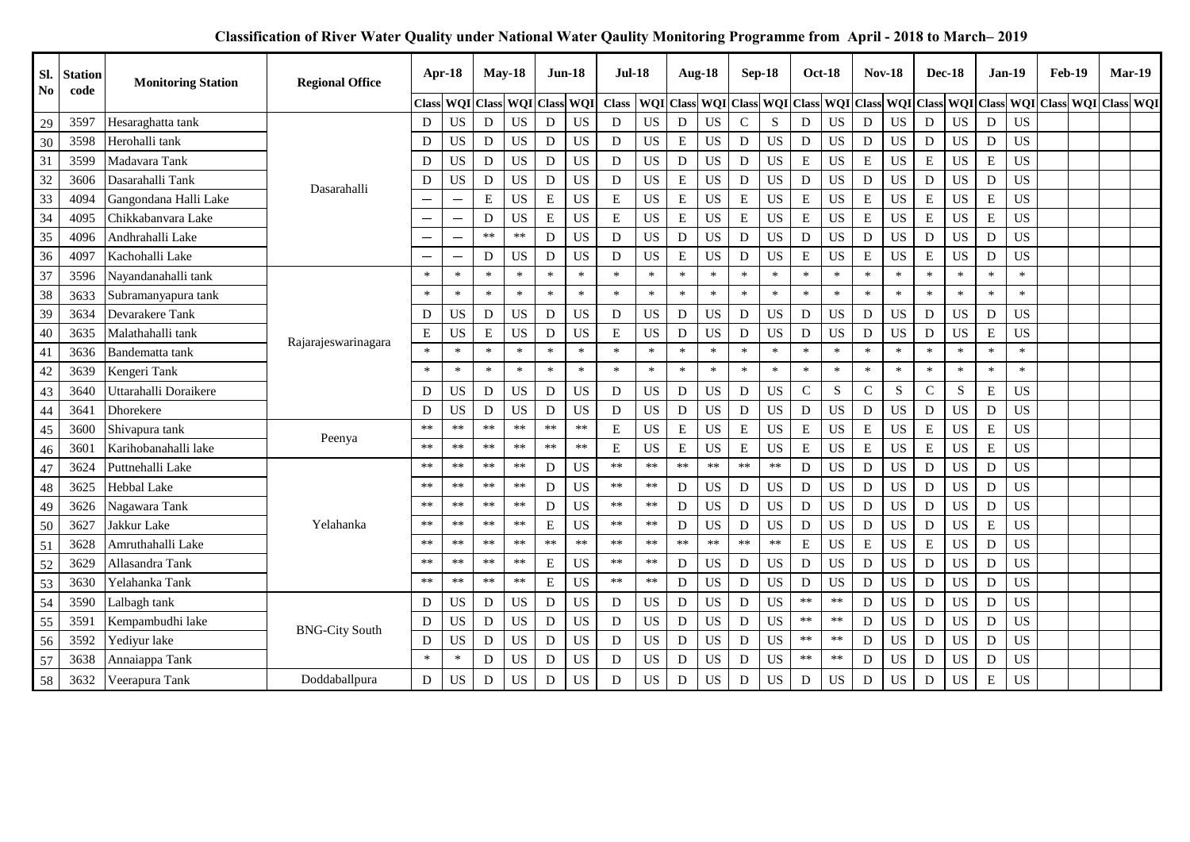| Sl.<br>N <sub>0</sub> | <b>Station</b><br>code | <b>Monitoring Station</b> | <b>Regional Office</b> |              | $Apr-18$          | May-18      |                  |             | $Jun-18$   | Jul-18       |            |           | <b>Aug-18</b> |              | <b>Sep-18</b>                 |             | <b>Oct-18</b>    | <b>Nov-18</b>  |           |             | <b>Dec-18</b> |             | <b>Jan-19</b>          | <b>Feb-19</b>                               | <b>Mar-19</b> |  |
|-----------------------|------------------------|---------------------------|------------------------|--------------|-------------------|-------------|------------------|-------------|------------|--------------|------------|-----------|---------------|--------------|-------------------------------|-------------|------------------|----------------|-----------|-------------|---------------|-------------|------------------------|---------------------------------------------|---------------|--|
|                       |                        |                           |                        | <b>Class</b> | <b>WOI</b> Class  |             | <b>WQI</b> Class |             | <b>WQI</b> | <b>Class</b> |            |           |               |              | WQI Class WQI Class WQI Class |             | <b>WQI</b> Class |                |           |             |               |             |                        | WQI Class WQI Class WQI Class WQI Class WQI |               |  |
| 29                    | 3597                   | Hesaraghatta tank         |                        | D            | <b>US</b>         | D           | <b>US</b>        | $\mathbf D$ | <b>US</b>  | D            | <b>US</b>  | D         | <b>US</b>     | $\mathsf{C}$ | ${\bf S}$                     | ${\bf D}$   | <b>US</b>        | ${\bf D}$      | <b>US</b> | D           | <b>US</b>     | D           | <b>US</b>              |                                             |               |  |
| 30                    | 3598                   | Herohalli tank            |                        | D            | <b>US</b>         | D           | <b>US</b>        | D           | <b>US</b>  | D            | <b>US</b>  | ${\bf E}$ | <b>US</b>     | D            | <b>US</b>                     | D           | <b>US</b>        | D              | <b>US</b> | D           | <b>US</b>     | D           | <b>US</b>              |                                             |               |  |
| 31                    | 3599                   | Madavara Tank             |                        | D            | <b>US</b>         | ${\bf D}$   | <b>US</b>        | $\mathbf D$ | <b>US</b>  | D            | <b>US</b>  | D         | <b>US</b>     | D            | <b>US</b>                     | ${\bf E}$   | <b>US</b>        | $\mathbf E$    | <b>US</b> | E           | <b>US</b>     | $\mathbf E$ | <b>US</b>              |                                             |               |  |
| 32                    | 3606                   | Dasarahalli Tank          | Dasarahalli            | D            | <b>US</b>         | D           | <b>US</b>        | D           | <b>US</b>  | D            | <b>US</b>  | E         | <b>US</b>     | ${\rm D}$    | <b>US</b>                     | $\mathbf D$ | <b>US</b>        | D              | <b>US</b> | D           | <b>US</b>     | D           | <b>US</b>              |                                             |               |  |
| 33                    | 4094                   | Gangondana Halli Lake     |                        |              |                   | $\mathbf E$ | <b>US</b>        | ${\bf E}$   | <b>US</b>  | E            | <b>US</b>  | ${\bf E}$ | <b>US</b>     | ${\bf E}$    | US                            | ${\bf E}$   | US               | ${\bf E}$      | US        | ${\bf E}$   | <b>US</b>     | ${\bf E}$   | $\mathbf{U}\mathbf{S}$ |                                             |               |  |
| 34                    | 4095                   | Chikkabanvara Lake        |                        | —            | $\qquad \qquad -$ | D           | <b>US</b>        | E           | <b>US</b>  | $\mathbf E$  | <b>US</b>  | E         | <b>US</b>     | E            | <b>US</b>                     | ${\bf E}$   | <b>US</b>        | $\overline{E}$ | <b>US</b> | E           | <b>US</b>     | ${\bf E}$   | <b>US</b>              |                                             |               |  |
| 35                    | 4096                   | Andhrahalli Lake          |                        |              |                   | $**$        | $**$             | D           | <b>US</b>  | D            | <b>US</b>  | D         | <b>US</b>     | D            | <b>US</b>                     | $\mathbf D$ | <b>US</b>        | ${\bf D}$      | <b>US</b> | D           | <b>US</b>     | D           | <b>US</b>              |                                             |               |  |
| 36                    | 4097                   | Kachohalli Lake           |                        |              | $\qquad \qquad -$ | D           | <b>US</b>        | D           | <b>US</b>  | D            | <b>US</b>  | E         | <b>US</b>     | D            | <b>US</b>                     | ${\bf E}$   | <b>US</b>        | $\mathbf E$    | <b>US</b> | E           | <b>US</b>     | D           | <b>US</b>              |                                             |               |  |
| 37                    | 3596                   | Nayandanahalli tank       |                        | $\ast$       | $\ast$            | $\ast$      | $\ast$           | $\ast$      | $\ast$     | $\ast$       | $\ast$     | $\ast$    | $\ast$        | $\ast$       | $\ast$                        | $\ast$      | $\ast$           | $\ast$         | $\ast$    | $\ast$      | $\ast$        | $\ast$      | $\ast$                 |                                             |               |  |
| 38                    | 3633                   | Subramanyapura tank       |                        | $\ast$       | $\ast$            | $\ast$      | $\ast$           | $\ast$      | $\ast$     | $\ast$       | $\ast$     | $\ast$    | $\ast$        | $\ast$       | $\ast$                        | $\ast$      | $\ast$           | $\ast$         | $\ast$    | $\ast$      | $\ast$        | $\ast$      | $\ast$                 |                                             |               |  |
| 39                    | 3634                   | Devarakere Tank           |                        | D            | <b>US</b>         | ${\bf D}$   | <b>US</b>        | $\mathbf D$ | <b>US</b>  | D            | <b>US</b>  | D         | <b>US</b>     | D            | <b>US</b>                     | D           | <b>US</b>        | ${\bf D}$      | <b>US</b> | D           | <b>US</b>     | ${\bf D}$   | <b>US</b>              |                                             |               |  |
| 40                    | 3635                   | Malathahalli tank         | Rajarajeswarinagara    | ${\bf E}$    | US                | ${\bf E}$   | <b>US</b>        | D           | <b>US</b>  | $\mathbf E$  | US         | D         | <b>US</b>     | D            | <b>US</b>                     | D           | <b>US</b>        | D              | <b>US</b> | D           | <b>US</b>     | ${\bf E}$   | <b>US</b>              |                                             |               |  |
| 41                    | 3636                   | Bandematta tank           |                        | $\ast$       | $\ast$            | $\ast$      | $\ast$           | $\ast$      | $\ast$     | $\ast$       | $\ast$     | $\ast$    |               | $\ast$       | $\ast$                        | $\ast$      | $\ast$           | $\ast$         | $\ast$    | $\ast$      | $\ast$        | $\ast$      | $\ast$                 |                                             |               |  |
| 42                    | 3639                   | Kengeri Tank              |                        | $\ast$       | $\ast$            | $\ast$      | $\ast$           | $\ast$      | $\ast$     | $\ast$       | $\ast$     | $\ast$    | $\ast$        | $\ast$       | $\ast$                        | $\ast$      | $\ast$           | $\ast$         | $\ast$    | $\ast$      | $\ast$        | $\ast$      | $\ast$                 |                                             |               |  |
| 43                    | 3640                   | Uttarahalli Doraikere     |                        | D            | US                | ${\bf D}$   | <b>US</b>        | $\mathbf D$ | <b>US</b>  | D            | <b>US</b>  | D         | <b>US</b>     | D            | <b>US</b>                     | ${\bf C}$   | S                | $\mathsf{C}$   | ${\bf S}$ | $\mathbf C$ | ${\bf S}$     | $\mathbf E$ | <b>US</b>              |                                             |               |  |
| 44                    | 3641                   | Dhorekere                 |                        | D            | <b>US</b>         | D           | <b>US</b>        | D           | <b>US</b>  | D            | <b>US</b>  | D         | <b>US</b>     | D            | US                            | $\mathbf D$ | <b>US</b>        | ${\bf D}$      | <b>US</b> | D           | <b>US</b>     | D           | <b>US</b>              |                                             |               |  |
| 45                    | 3600                   | Shivapura tank            | Peenya                 | $***$        | $**$              | $**$        | $***$            | $**$        | $***$      | E            | <b>US</b>  | E         | <b>US</b>     | ${\bf E}$    | <b>US</b>                     | ${\bf E}$   | US               | ${\bf E}$      | <b>US</b> | E           | <b>US</b>     | Е           | <b>US</b>              |                                             |               |  |
| 46                    | 360                    | Karihobanahalli lake      |                        | $\ast\ast$   | $**$              | $**$        | $\ast\ast$       | $**$        | $\ast\ast$ | E            | <b>US</b>  | E         | <b>US</b>     | E            | <b>US</b>                     | E           | <b>US</b>        | $\mathbf E$    | <b>US</b> | ${\bf E}$   | <b>US</b>     | $\mathbf E$ | <b>US</b>              |                                             |               |  |
| 47                    | 3624                   | Puttnehalli Lake          |                        | $***$        | $**$              | $**$        | $**$             | D           | <b>US</b>  | $**$         | $**$       | $***$     | $**$          | $***$        | $**$                          | $\mathbf D$ | <b>US</b>        | ${\bf D}$      | <b>US</b> | D           | <b>US</b>     | D           | <b>US</b>              |                                             |               |  |
| 48                    | 3625                   | <b>Hebbal Lake</b>        |                        | $***$        | $**$              | **          | $***$            | D           | <b>US</b>  | $***$        | $\ast\ast$ | D         | <b>US</b>     | D            | <b>US</b>                     | D           | US               | D              | <b>US</b> | D           | <b>US</b>     | D           | <b>US</b>              |                                             |               |  |
| 49                    | 3626                   | Nagawara Tank             |                        | $***$        | $**$              | **          | $\ast\ast$       | D           | <b>US</b>  | $**$         | $**$       | D         | <b>US</b>     | D            | <b>US</b>                     | D           | <b>US</b>        | D              | <b>US</b> | D           | <b>US</b>     | D           | <b>US</b>              |                                             |               |  |
| 50                    | 362'                   | Jakkur Lake               | Yelahanka              | $***$        | $**$              | $***$       | $\ast\ast$       | E           | <b>US</b>  | $**$         | $\ast\ast$ | D         | <b>US</b>     | D            | <b>US</b>                     | D           | <b>US</b>        | D              | <b>US</b> | D           | <b>US</b>     | $\mathbf E$ | <b>US</b>              |                                             |               |  |
| 51                    | 3628                   | Amruthahalli Lake         |                        | $**$         | $**$              | $**$        | $**$             | $**$        | $**$       | $**$         | $**$       | $**$      | $**$          | $**$         | $**$                          | ${\bf E}$   | <b>US</b>        | $\mathbf E$    | <b>US</b> | ${\bf E}$   | <b>US</b>     | D           | <b>US</b>              |                                             |               |  |
| 52                    | 3629                   | Allasandra Tank           |                        | $***$        | $***$             | $\ast\ast$  | $\ast\ast$       | E           | <b>US</b>  | $**$         | $\ast\ast$ | D         | <b>US</b>     | D            | <b>US</b>                     | D           | <b>US</b>        | ${\bf D}$      | <b>US</b> | D           | <b>US</b>     | D           | <b>US</b>              |                                             |               |  |
| 53                    | 3630                   | Yelahanka Tank            |                        | $**$         | $**$              | $**$        | $**$             | E           | <b>US</b>  | $\ast\ast$   | $**$       | D         | <b>US</b>     | D            | <b>US</b>                     | D           | US               | D              | <b>US</b> | D           | <b>US</b>     | D           | <b>US</b>              |                                             |               |  |
| 54                    | 3590                   | Lalbagh tank              |                        | D            | US                | D           | <b>US</b>        | D           | <b>US</b>  | D            | <b>US</b>  | D         | <b>US</b>     | D            | <b>US</b>                     | $**$        | $\ast\ast$       | D              | <b>US</b> | D           | <b>US</b>     | D           | <b>US</b>              |                                             |               |  |
| 55                    | 359                    | Kempambudhi lake          | <b>BNG-City South</b>  | D            | US                | ${\bf D}$   | <b>US</b>        | ${\bf D}$   | <b>US</b>  | $\mathbf D$  | <b>US</b>  | D         | <b>US</b>     | D            | <b>US</b>                     | **          | $\ast\ast$       | ${\bf D}$      | US        | ${\bf D}$   | US            | $\mathbf D$ | <b>US</b>              |                                             |               |  |
| 56                    | 3592                   | Yediyur lake              |                        | D            | US                | D           | <b>US</b>        | $\mathbf D$ | <b>US</b>  | D            | <b>US</b>  | D         | <b>US</b>     | D            | <b>US</b>                     | **          | $\ast\ast$       | D              | <b>US</b> | D           | <b>US</b>     | D           | <b>US</b>              |                                             |               |  |
| 57                    | 3638                   | Annaiappa Tank            |                        | $\ast$       | $\ast$            | D           | <b>US</b>        | D           | <b>US</b>  | D            | <b>US</b>  | D         | <b>US</b>     | D            | <b>US</b>                     | $***$       | $**$             | D              | <b>US</b> | D           | <b>US</b>     | D           | <b>US</b>              |                                             |               |  |
| 58                    | 3632                   | Veerapura Tank            | Doddaballpura          | D            | <b>US</b>         | D           | <b>US</b>        | D           | <b>US</b>  | D            | <b>US</b>  | D         | <b>US</b>     | D            | <b>US</b>                     | D           | <b>US</b>        | D              | <b>US</b> | D           | <b>US</b>     | E           | <b>US</b>              |                                             |               |  |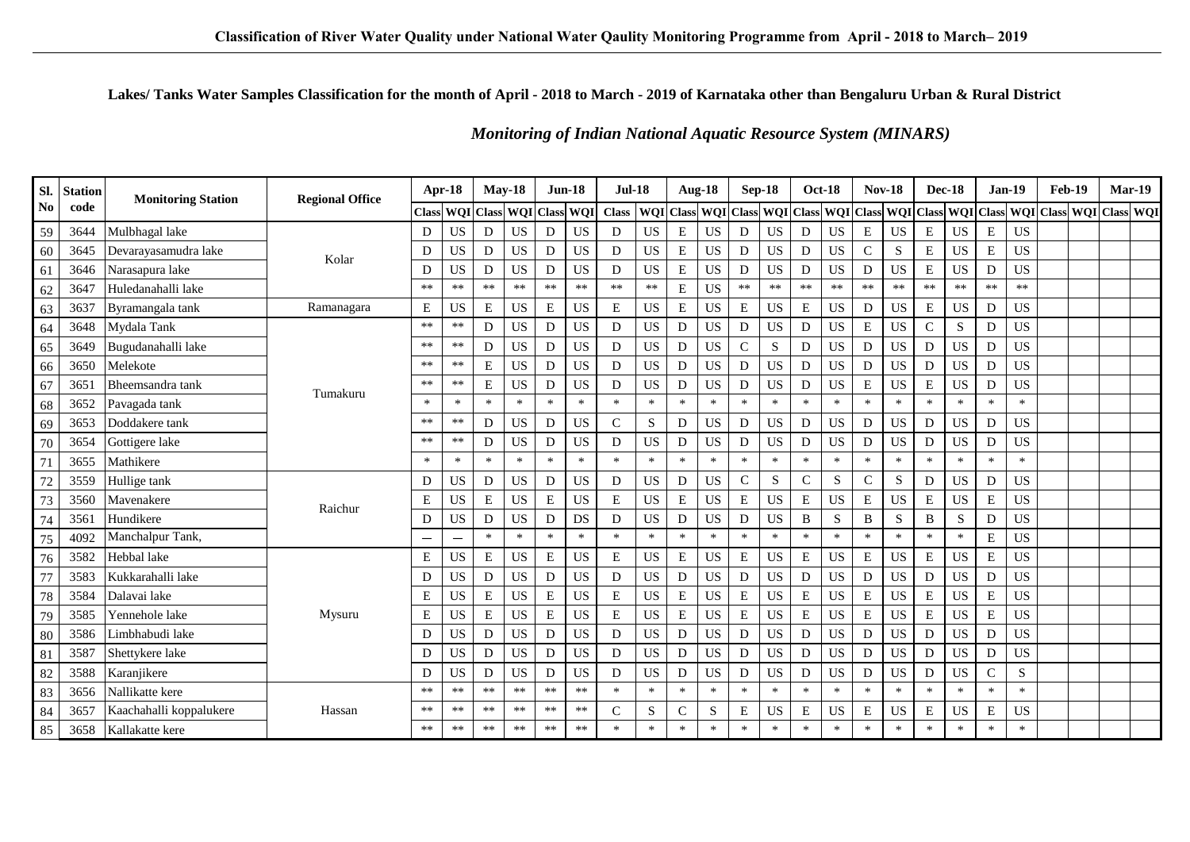### Lakes/Tanks Water Samples Classification for the month of April - 2018 to March - 2019 of Karnataka other than Bengaluru Urban & Rural District

### **Monitoring of Indian National Aquatic Resource System (MINARS)**

| SI.       | <b>Station</b> | <b>Monitoring Station</b> | <b>Regional Office</b> |        | Apr-18                   | $Mav-18$  |                            | $Jun-18$    |                             | $Jul-18$                      |           | <b>Aug-18</b> |           | <b>Sep-18</b> |                  |              | <b>Oct-18</b> | <b>Nov-18</b> |             |              | <b>Dec-18</b> | <b>Jan-19</b> |             | Feb-19                                                          | Mar-19 |  |
|-----------|----------------|---------------------------|------------------------|--------|--------------------------|-----------|----------------------------|-------------|-----------------------------|-------------------------------|-----------|---------------|-----------|---------------|------------------|--------------|---------------|---------------|-------------|--------------|---------------|---------------|-------------|-----------------------------------------------------------------|--------|--|
| <b>No</b> | code           |                           |                        | Class  | <b>WQI</b> Class         |           |                            |             | <b>WQI</b> Class <b>WQI</b> | Class   WQI Class   WQI Class |           |               |           |               | <b>WQI</b> Class |              |               |               |             |              |               |               |             | WQI Class WQI Class WQI Class WQI Class WQI Class WQI Class WQI |        |  |
| 59        | 3644           | Mulbhagal lake            |                        | D      | <b>US</b>                | D         | <b>US</b>                  | D           | <b>US</b>                   | D                             | <b>US</b> | $\mathbf E$   | <b>US</b> | D             | <b>US</b>        | D            | <b>US</b>     | ${\bf E}$     | <b>US</b>   | $\mathbf E$  | <b>US</b>     | $\mathbf E$   | <b>US</b>   |                                                                 |        |  |
| 60        | 3645           | Devarayasamudra lake      |                        | D      | <b>US</b>                | D         | <b>US</b>                  | ${\bf D}$   | <b>US</b>                   | D                             | <b>US</b> | E             | <b>US</b> | D             | <b>US</b>        | D            | <b>US</b>     | $\mathbf C$   | ${\bf S}$   | E            | <b>US</b>     | $\mathbf E$   | <b>US</b>   |                                                                 |        |  |
| 61        | 3646           | Narasapura lake           | Kolar                  | D      | <b>US</b>                | D         | <b>US</b>                  | D           | <b>US</b>                   | D                             | <b>US</b> | E             | <b>US</b> | D             | <b>US</b>        | D            | <b>US</b>     | ${\bf D}$     | <b>US</b>   | $\mathbf E$  | <b>US</b>     | D             | <b>US</b>   |                                                                 |        |  |
| 62        | 3647           | Huledanahalli lake        |                        | $***$  | $**$                     | $**$      | $**$                       | $**$        | $**$                        | $**$                          | $**$      | E             | <b>US</b> | $***$         | $**$             | $**$         | $**$          | $**$          | $**$        | $**$         | $**$          | $**$          | $**$        |                                                                 |        |  |
| 63        | 363'           | Byramangala tank          | Ramanagara             | E      | <b>US</b>                | ${\bf E}$ | <b>US</b>                  | ${\bf E}$   | <b>US</b>                   | E                             | <b>US</b> | ${\bf E}$     | <b>US</b> | ${\bf E}$     | <b>US</b>        | ${\bf E}$    | <b>US</b>     | ${\bf D}$     | <b>US</b>   | ${\bf E}$    | US            | ${\bf D}$     | <b>US</b>   |                                                                 |        |  |
| 64        | 3648           | Mydala Tank               |                        | $***$  | **                       | D         | <b>US</b>                  | D           | <b>US</b>                   | D                             | <b>US</b> | D             | <b>US</b> | D             | <b>US</b>        | D            | <b>US</b>     | ${\bf E}$     | <b>US</b>   | C            | S             | D             | <b>US</b>   |                                                                 |        |  |
| 65        | 3649           | Bugudanahalli lake        |                        | $***$  | $\ast\ast$               | D         | <b>US</b>                  | ${\bf D}$   | <b>US</b>                   | D                             | <b>US</b> | D             | <b>US</b> | $\mathbf C$   | S                | D            | <b>US</b>     | ${\bf D}$     | <b>US</b>   | D            | <b>US</b>     | D             | <b>US</b>   |                                                                 |        |  |
| 66        | 3650           | Melekote                  |                        | $***$  | $**$                     | E         | <b>US</b>                  | D           | <b>US</b>                   | D                             | <b>US</b> | D             | <b>US</b> | D             | <b>US</b>        | D            | <b>US</b>     | D             | <b>US</b>   | D            | <b>US</b>     | D             | <b>US</b>   |                                                                 |        |  |
| 67        | 3651           | Bheemsandra tank          | Tumakuru               | $**$   | $***$                    | E         | <b>US</b>                  | D           | <b>US</b>                   | D                             | <b>US</b> | D             | <b>US</b> | D             | <b>US</b>        | D            | <b>US</b>     | ${\bf E}$     | <b>US</b>   | $\mathbf E$  | <b>US</b>     | D             | <b>US</b>   |                                                                 |        |  |
| 68        | 3652           | Pavagada tank             |                        | $*$    | $\ast$                   | $\ast$    | $\ast$                     | $\ast$      | $\ast$                      | $\ast$                        | $\ast$    | $\ast$        | $\ast$    | $\ast$        | $\ast$           | $\ast$       | $\ast$        | $\ast$        | $\ast$      | $\ast$       | $\ast$        | $\ast$        | $\ast$      |                                                                 |        |  |
| 69        | 3653           | Doddakere tank            |                        | $***$  | $**$                     | D         | <b>US</b>                  | D           | <b>US</b>                   | $\mathsf{C}$                  | S         | D             | <b>US</b> | D             | <b>US</b>        | D            | <b>US</b>     | D             | <b>US</b>   | D            | <b>US</b>     | D             | <b>US</b>   |                                                                 |        |  |
| 70        | 3654           | Gottigere lake            |                        | $***$  | $**$                     | D         | <b>US</b>                  | D           | <b>US</b>                   | D                             | <b>US</b> | D             | <b>US</b> | D             | <b>US</b>        | D            | <b>US</b>     | D             | <b>US</b>   | D            | <b>US</b>     | D             | <b>US</b>   |                                                                 |        |  |
| 71        | 3655           | Mathikere                 |                        | $\ast$ | $\ast$                   | $\ast$    | $\ast$                     | $\ast$      | $\ast$                      | $\ast$                        | $\ast$    | $\ast$        | $\ast$    | $\ast$        | $\ast$           | $\ast$       | $\ast$        | $\ast$        | $\ast$      | $\ast$       | $\ast$        | $\ast$        | $\ast$      |                                                                 |        |  |
| 72        | 3559           | Hullige tank              |                        | D      | <b>US</b>                | D         | $\mathbf{U}\mathbf{S}$     | ${\rm D}$   | <b>US</b>                   | D                             | US        | D             | US        | ${\bf C}$     | ${\bf S}$        | ${\bf C}$    | ${\bf S}$     | $\mathsf C$   | $\mathbf S$ | D            | <b>US</b>     | D             | <b>US</b>   |                                                                 |        |  |
| 73        | 3560           | Mavenakere                | Raichur                | E      | <b>US</b>                | E         | <b>US</b>                  | $\mathbf E$ | <b>US</b>                   | Е                             | <b>US</b> | E             | <b>US</b> | E             | <b>US</b>        | ${\bf E}$    | <b>US</b>     | E             | <b>US</b>   | E            | <b>US</b>     | E             | <b>US</b>   |                                                                 |        |  |
| 74        | 3561           | Hundikere                 |                        | D      | <b>US</b>                | D         | $\boldsymbol{\mathsf{US}}$ | ${\bf D}$   | DS                          | D                             | <b>US</b> | D             | <b>US</b> | D             | <b>US</b>        | $\, {\bf B}$ | ${\bf S}$     | B             | S           | $\, {\bf B}$ | ${\bf S}$     | ${\bf D}$     | US          |                                                                 |        |  |
| 75        | 4092           | Manchalpur Tank,          |                        |        | $\overline{\phantom{0}}$ | $\ast$    | $*$                        | $\ast$      | $\ast$                      | $\ast$                        | $\ast$    | $\ast$        | $\ast$    | $\ast$        | $\ast$           | $\ast$       | $\ast$        | $\ast$        | $\ast$      | $\ast$       | $\ast$        | E             | US          |                                                                 |        |  |
| 76        | 3582           | Hebbal lake               |                        | E      | <b>US</b>                | E         | <b>US</b>                  | E           | <b>US</b>                   | E                             | <b>US</b> | $\mathbf E$   | <b>US</b> | ${\bf E}$     | <b>US</b>        | ${\bf E}$    | <b>US</b>     | $\mathbf E$   | <b>US</b>   | $\mathbf E$  | <b>US</b>     | E             | <b>US</b>   |                                                                 |        |  |
| 77        | 3583           | Kukkarahalli lake         |                        | D      | <b>US</b>                | D         | <b>US</b>                  | D           | <b>US</b>                   | D                             | <b>US</b> | D             | <b>US</b> | D             | <b>US</b>        | D            | <b>US</b>     | D             | <b>US</b>   | D            | <b>US</b>     | ${\bf D}$     | <b>US</b>   |                                                                 |        |  |
| 78        | 3584           | Dalavai lake              |                        | E      | <b>US</b>                | ${\bf E}$ | <b>US</b>                  | ${\bf E}$   | <b>US</b>                   | E                             | <b>US</b> | E             | <b>US</b> | ${\bf E}$     | <b>US</b>        | ${\bf E}$    | <b>US</b>     | ${\bf E}$     | <b>US</b>   | ${\bf E}$    | <b>US</b>     | $\mathbf E$   | <b>US</b>   |                                                                 |        |  |
| 79        | 3585           | Yennehole lake            | Mysuru                 | E      | <b>US</b>                | E         | <b>US</b>                  | E           | <b>US</b>                   | E                             | <b>US</b> | E             | <b>US</b> | E             | <b>US</b>        | ${\bf E}$    | <b>US</b>     | $\mathbf E$   | <b>US</b>   | $\mathbf E$  | <b>US</b>     | $\mathbf E$   | <b>US</b>   |                                                                 |        |  |
| 80        | 3586           | Limbhabudi lake           |                        | D      | <b>US</b>                | D         | $\mathbf{U}\mathbf{S}$     | ${\bf D}$   | <b>US</b>                   | D                             | <b>US</b> | D             | <b>US</b> | D             | <b>US</b>        | D            | <b>US</b>     | ${\bf D}$     | <b>US</b>   | D            | <b>US</b>     | D             | <b>US</b>   |                                                                 |        |  |
| 81        | 358            | Shettykere lake           |                        | D      | <b>US</b>                | D         | <b>US</b>                  | D           | <b>US</b>                   | D                             | <b>US</b> | D             | <b>US</b> | D             | <b>US</b>        | D            | <b>US</b>     | D             | <b>US</b>   | D            | <b>US</b>     | D             | <b>US</b>   |                                                                 |        |  |
| 82        | 3588           | Karanjikere               |                        | D      | <b>US</b>                | D         | <b>US</b>                  | ${\bf D}$   | <b>US</b>                   | D                             | <b>US</b> | D             | US        | D             | <b>US</b>        | D            | <b>US</b>     | $\mathbf D$   | <b>US</b>   | D            | <b>US</b>     | $\mathbf C$   | $\mathbf S$ |                                                                 |        |  |
| 83        | 3656           | Nallikatte kere           |                        | $***$  | $**$                     | $**$      | $**$                       | $**$        | $**$                        | $\ast$                        | $\ast$    | $\ast$        | $\ast$    | $\ast$        | $\ast$           | $\ast$       | $\ast$        | $\ast$        | $\ast$      | $\ast$       | $\ast$        | $\ast$        | $\ast$      |                                                                 |        |  |
| 84        | 3657           | Kaachahalli koppalukere   | Hassan                 | $***$  | $**$                     | $**$      | $**$                       | $\ast\ast$  | $**$                        | $\mathcal{C}$                 | S         | C             | S         | E             | <b>US</b>        | E            | <b>US</b>     | E             | US          | E            | <b>US</b>     | Е             | <b>US</b>   |                                                                 |        |  |
| 85        | 3658           | Kallakatte kere           |                        | **     | $**$                     | $**$      | $**$                       | $**$        | $**$                        | $\ast$                        | $\ast$    | $\ast$        | *         | $\ast$        | $\ast$           | $\ast$       | $\ast$        | $\ast$        | $\ast$      | $\ast$       | $\ast$        | $\ast$        | $\ast$      |                                                                 |        |  |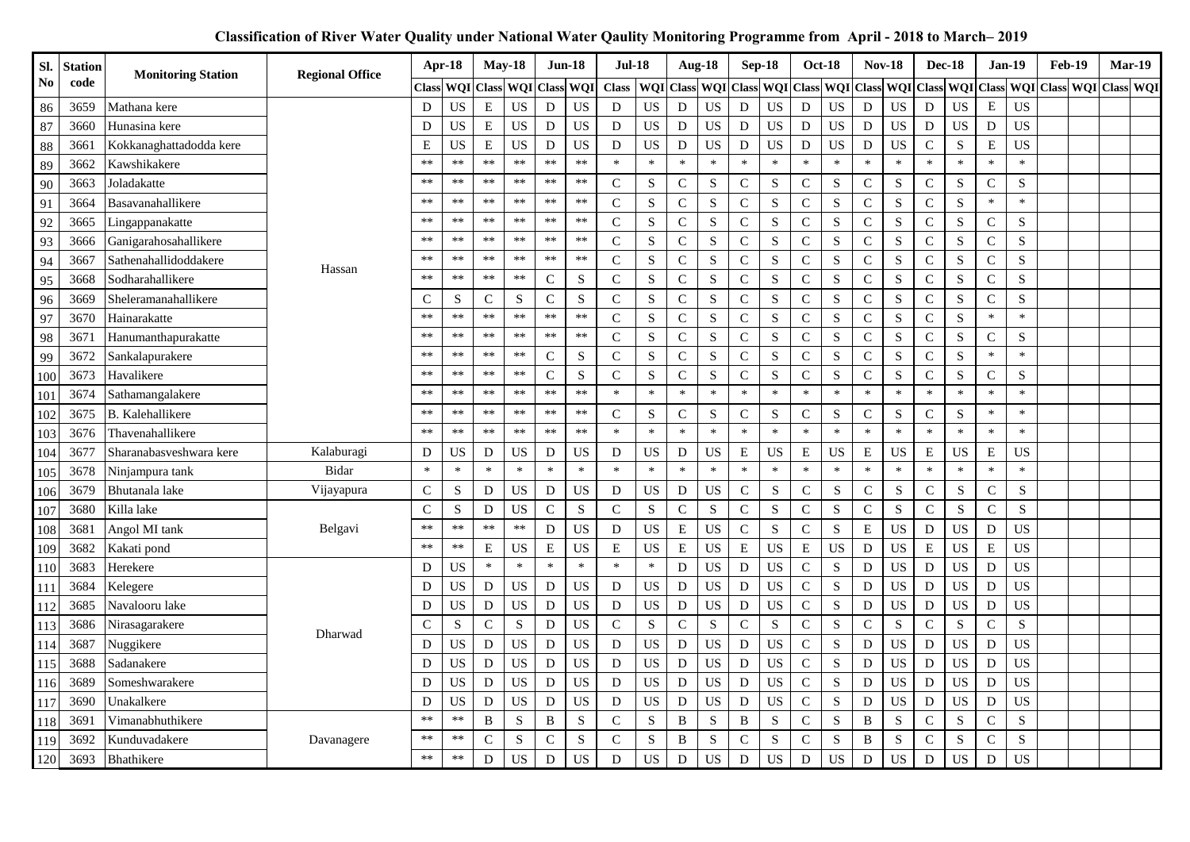| SI.               | <b>Station</b> | <b>Monitoring Station</b> | <b>Regional Office</b> |               | Apr-18     | <b>May-18</b> |                  | <b>Jun-18</b> |                            | <b>Jul-18</b> |                  | Aug-18       |             | <b>Sep-18</b>  |             |                | <b>Oct-18</b> | <b>Nov-18</b> |                  | <b>Dec-18</b> |                  |                | <b>Jan-19</b> | <b>Feb-19</b>           | Mar-19 |  |
|-------------------|----------------|---------------------------|------------------------|---------------|------------|---------------|------------------|---------------|----------------------------|---------------|------------------|--------------|-------------|----------------|-------------|----------------|---------------|---------------|------------------|---------------|------------------|----------------|---------------|-------------------------|--------|--|
| N <sub>o</sub>    | code           |                           |                        | <b>Class</b>  | WQI        | <b>Class</b>  | <b>WQI</b> Class |               | WQI                        | <b>Class</b>  | <b>WQI</b> Class |              | <b>WOI</b>  | <b>Class</b>   | WQI         | <b>Class</b>   | WQI           | <b>Class</b>  | <b>WQI</b> Class |               | <b>WQI</b> Class |                |               | WQI Class WQI Class WQI |        |  |
| 86                | 3659           | Mathana kere              |                        | D             | US         | ${\bf E}$     | <b>US</b>        | $\mathbf D$   | $\ensuremath{\mathrm{US}}$ | D             | <b>US</b>        | ${\bf D}$    | <b>US</b>   | D              | <b>US</b>   | D              | <b>US</b>     | ${\bf D}$     | US               | ${\bf D}$     | US               | ${\bf E}$      | <b>US</b>     |                         |        |  |
| 87                | 3660           | Hunasina kere             |                        | D             | <b>US</b>  | ${\bf E}$     | US               | $\mathbf D$   | <b>US</b>                  | D             | US               | D            | <b>US</b>   | D              | <b>US</b>   | D              | US            | D             | <b>US</b>        | D             | US               | D              | <b>US</b>     |                         |        |  |
| 88                | 3661           | Kokkanaghattadodda kere   |                        | E             | US         | E             | <b>US</b>        | D             | US                         | D             | <b>US</b>        | D            | US          | D              | <b>US</b>   | D              | <b>US</b>     | D             | <b>US</b>        | $\mathsf{C}$  | ${\bf S}$        | E              | <b>US</b>     |                         |        |  |
| 89                | 3662           | Kawshikakere              |                        | $**$          | $**$       | $**$          | $**$             | $**$          | $**$                       | $\ast$        | $\ast$           | $\ast$       | $*$         | $\ast$         | $\ast$      | $\ast$         | $\ast$        | $\ast$        | $\ast$           | $\ast$        | $\ast$           | $\ast$         | $\ast$        |                         |        |  |
| 90                | 3663           | Joladakatte               |                        | $**$          | $\ast\ast$ | $\ast\ast$    | $\ast\ast$       | $\ast\ast$    | $\ast\ast$                 | $\mathbf C$   | ${\bf S}$        | $\mathsf{C}$ | ${\bf S}$   | $\mathsf{C}$   | S           | $\mathsf{C}$   | ${\bf S}$     | $\mathsf{C}$  | ${\bf S}$        | $\mathsf{C}$  | ${\bf S}$        | $\mathsf{C}$   | $\mathbf S$   |                         |        |  |
| 91                | 3664           | Basavanahallikere         |                        | $**$          | $\ast\ast$ | $\ast\ast$    | $\ast\ast$       | $\ast\ast$    | $**$                       | $\mathbf C$   | ${\bf S}$        | $\mathsf C$  | ${\bf S}$   | $\mathsf C$    | $\mathbf S$ | $\mathsf C$    | ${\bf S}$     | ${\bf C}$     | ${\bf S}$        | $\mathbf C$   | S                | $\ast$         | $\ast$        |                         |        |  |
| 92                | 3665           | Lingappanakatte           |                        | $**$          | $\ast\ast$ | $\ast\ast$    | $\ast\ast$       | $\ast\ast$    | $**$                       | $\mathsf{C}$  | ${\bf S}$        | $\mathsf C$  | ${\bf S}$   | $\mathsf C$    | S           | $\mathsf C$    | ${\bf S}$     | ${\bf C}$     | ${\bf S}$        | $\mathsf{C}$  | $\mathbf S$      | $\mathsf{C}$   | $\mathbf S$   |                         |        |  |
| 93                | 3666           | Ganigarahosahallikere     |                        | $**$          | $\ast\ast$ | $\ast\ast$    | $\ast\ast$       | $\ast\ast$    | $**$                       | $\mathsf{C}$  | S                | $\mathbf C$  | ${\bf S}$   | $\mathsf{C}$   | S           | $\mathsf{C}$   | S             | ${\bf C}$     | ${\bf S}$        | $\mathsf{C}$  | $\mathbf S$      | $\mathbf C$    | $\mathbf S$   |                         |        |  |
| 94                | 3667           | Sathenahallidoddakere     | Hassan                 | $**$          | $***$      | $**$          | $\ast\ast$       | $\ast\ast$    | $**$                       | $\mathcal{C}$ | ${\bf S}$        | $\mathbf C$  | S           | $\mathsf{C}$   | S           | $\mathsf{C}$   | ${\bf S}$     | $\mathbf C$   | ${\bf S}$        | $\mathsf{C}$  | ${\bf S}$        | $\mathsf{C}$   | $\mathbf S$   |                         |        |  |
| 95                | 3668           | Sodharahallikere          |                        | $**$          | $***$      | $\ast\ast$    | $***$            | $\mathsf{C}$  | S                          | $\mathsf{C}$  | ${\bf S}$        | $\mathsf{C}$ | S           | $\mathsf{C}$   | S           | $\mathsf{C}$   | S             | $\mathbf C$   | ${\bf S}$        | $\mathsf{C}$  | ${\bf S}$        | $\mathsf{C}$   | $\mathbf S$   |                         |        |  |
| 96                | 3669           | Sheleramanahallikere      |                        | $\mathsf{C}$  | S          | $\mathsf{C}$  | S                | $\mathbf C$   | S                          | $\mathsf{C}$  | ${\bf S}$        | $\mathbf C$  | S           | $\mathsf{C}$   | S           | $\mathsf{C}$   | $\mathbf S$   | $\mathbf C$   | ${\bf S}$        | $\mathsf{C}$  | ${\bf S}$        | $\mathcal{C}$  | $\mathbf S$   |                         |        |  |
| 97                | 3670           | Hainarakatte              |                        | $**$          | $\ast\ast$ | $\ast\ast$    | $**$             | $\ast\ast$    | $**$                       | $\mathbf C$   | ${\bf S}$        | $\mathsf C$  | ${\bf S}$   | $\mathsf C$    | ${\bf S}$   | $\mathsf C$    | ${\bf S}$     | ${\bf C}$     | ${\bf S}$        | $\mathbf C$   | S                | $\ast$         | $\ast$        |                         |        |  |
| 98                | 3671           | Hanumanthapurakatte       |                        | $**$          | $\ast\ast$ | $\ast\ast$    | $\ast\ast$       | $\ast\ast$    | $**$                       | $\mathsf{C}$  | $\mathbf S$      | $\mathbf C$  | ${\bf S}$   | $\mathsf C$    | ${\bf S}$   | $\mathsf C$    | ${\bf S}$     | ${\bf C}$     | ${\bf S}$        | $\mathsf{C}$  | $\mathbf S$      | $\mathsf{C}$   | ${\bf S}$     |                         |        |  |
| 99                | 3672           | Sankalapurakere           |                        | $\ast\ast$    | $\ast\ast$ | $\ast\ast$    | $**$             | $\mathbf C$   | S                          | $\mathbf C$   | ${\bf S}$        | $\mathbf C$  | $\mathbf S$ | $\mathsf{C}$   | S           | $\mathbf C$    | $\mathbf S$   | $\mathbf C$   | ${\bf S}$        | $\mathsf{C}$  | $\mathbf S$      | $\ast$         | $\ast$        |                         |        |  |
| 100               | 3673           | Havalikere                |                        | $**$          | $**$       | $**$          | $**$             | $\mathbf C$   | ${\bf S}$                  | $\mathbf C$   | ${\bf S}$        | $\mathbf C$  | $\mathbf S$ | $\overline{C}$ | S           | $\mathsf{C}$   | $\mathbf S$   | $\mathbf C$   | ${\bf S}$        | $\mathsf{C}$  | $\mathbf S$      | $\overline{C}$ | $\mathbf S$   |                         |        |  |
| 101               | 3674           | Sathamangalakere          |                        | $**$          | $**$       | $**$          | $**$             | $**$          | $**$                       | $\ast$        | $\ast$           | $\ast$       | $\ast$      | $\ast$         | $\ast$      | $\ast$         | $\ast$        | $\ast$        | $\ast$           | $\ast$        | $\ast$           | $\ast$         | $\ast$        |                         |        |  |
| 102               | 3675           | B. Kalehallikere          |                        | $**$          | $***$      | $\ast\ast$    | $\ast\ast$       | $\ast\ast$    | $\ast\ast$                 | $\mathcal{C}$ | ${\bf S}$        | $\mathsf{C}$ | S           | C              | S           | $\mathsf{C}$   | ${\bf S}$     | $\mathsf{C}$  | S                | $\mathcal{C}$ | S                | $\ast$         | $\ast$        |                         |        |  |
| 103               | 3676           | Thavenahallikere          |                        | $\ast\ast$    | $\ast\ast$ | $\ast\ast$    | $\ast\ast$       | $\ast\ast$    | $**$                       | $\ast$        | $\ast$           | $\ast$       | $\ast$      | $\ast$         | $\ast$      | $\ast$         | $\ast$        | $\ast$        | $\ast$           | $\ast$        | $\ast$           | $\ast$         | $\ast$        |                         |        |  |
| 104               | 3677           | Sharanabasveshwara kere   | Kalaburagi             | D             | <b>US</b>  | ${\rm D}$     | US               | $\mathbf D$   | US                         | D             | <b>US</b>        | D            | <b>US</b>   | ${\bf E}$      | <b>US</b>   | E              | <b>US</b>     | ${\bf E}$     | <b>US</b>        | ${\bf E}$     | <b>US</b>        | ${\bf E}$      | US            |                         |        |  |
| 105               | 3678           | Ninjampura tank           | Bidar                  | $\ast$        | $\ast$     | $\ast$        | $\ast$           | $\ast$        | $\ast$                     | $\ast$        | $\ast$           | $\ast$       | $\ast$      | $\ast$         | $\ast$      | $\ast$         | $\ast$        | $\ast$        | $\ast$           | $\ast$        | $\ast$           | $\ast$         | $\ast$        |                         |        |  |
| 106               | 3679           | Bhutanala lake            | Vijayapura             | $\mathsf C$   | S          | D             | <b>US</b>        | D             | <b>US</b>                  | D             | <b>US</b>        | D            | <b>US</b>   | $\mathsf C$    | ${\bf S}$   | $\mathbf{C}$   | ${\bf S}$     | ${\bf C}$     | ${\bf S}$        | $\mathbf C$   | $\mathbf S$      | $\mathbf C$    | ${\bf S}$     |                         |        |  |
| 107               | 3680           | Killa lake                |                        | $\mathsf{C}$  | S          | D             | <b>US</b>        | $\mathbf C$   | S                          | $\mathcal{C}$ | ${\bf S}$        | $\mathbf C$  | S           | $\mathsf{C}$   | S           | $\mathsf{C}$   | $\mathbf S$   | $\mathbf C$   | ${\bf S}$        | $\mathsf{C}$  | ${\bf S}$        | $\mathsf{C}$   | ${\bf S}$     |                         |        |  |
| 108               | 3681           | Angol MI tank             | Belgavi                | $**$          | $**$       | $**$          | $**$             | $\mathbf D$   | <b>US</b>                  | D             | <b>US</b>        | ${\bf E}$    | <b>US</b>   | $\overline{C}$ | S           | $\overline{C}$ | $\mathbf S$   | ${\bf E}$     | <b>US</b>        | D             | <b>US</b>        | D              | <b>US</b>     |                         |        |  |
| 109               | 3682           | Kakati pond               |                        | $**$          | $***$      | E             | <b>US</b>        | ${\bf E}$     | <b>US</b>                  | $\mathbf E$   | <b>US</b>        | E            | <b>US</b>   | ${\bf E}$      | <b>US</b>   | E              | <b>US</b>     | ${\bf D}$     | <b>US</b>        | $\mathbf E$   | US               | ${\bf E}$      | <b>US</b>     |                         |        |  |
| 110               | 3683           | Herekere                  |                        | D             | US         | $\ast$        | $\ast$           | $\ast$        | $\ast$                     | $\ast$        | $\ast$           | D            | <b>US</b>   | ${\bf D}$      | <b>US</b>   | $\mathsf C$    | ${\bf S}$     | $\mathbf D$   | <b>US</b>        | D             | <b>US</b>        | D              | US            |                         |        |  |
| 111               | 3684           | Kelegere                  |                        | D             | <b>US</b>  | D             | US               | D             | <b>US</b>                  | D             | US               | D            | <b>US</b>   | $\mathbf D$    | <b>US</b>   | $\mathbf C$    | ${\bf S}$     | $\mathbf D$   | <b>US</b>        | D             | US               | D              | <b>US</b>     |                         |        |  |
| 112               | 3685           | Navalooru lake            |                        | D             | <b>US</b>  | D             | <b>US</b>        | $\mathbf D$   | <b>US</b>                  | D             | <b>US</b>        | D            | <b>US</b>   | ${\bf D}$      | <b>US</b>   | $\overline{C}$ | $\mathbf S$   | D             | <b>US</b>        | D             | US               | D              | US            |                         |        |  |
| 113               | 3686           | Nirasagarakere            | Dharwad                | $\mathcal{C}$ | S          | $\mathsf{C}$  | S                | $\mathbf D$   | <b>US</b>                  | $\mathbf C$   | S                | $\mathsf{C}$ | S           | $\mathsf{C}$   | S           | $\mathsf{C}$   | S             | $\mathbf C$   | S                | $\mathsf{C}$  | ${\bf S}$        | $\mathsf{C}$   | $\mathbf S$   |                         |        |  |
| 114               | 3687           | Nuggikere                 |                        | D             | <b>US</b>  | D             | <b>US</b>        | $\mathbf D$   | <b>US</b>                  | D             | <b>US</b>        | ${\bf D}$    | <b>US</b>   | ${\rm D}$      | <b>US</b>   | $\mathsf C$    | S             | D             | <b>US</b>        | D             | <b>US</b>        | D              | <b>US</b>     |                         |        |  |
| $\frac{115}{115}$ | 3688           | Sadanakere                |                        | D             | <b>US</b>  | D             | <b>US</b>        | D             | <b>US</b>                  | D             | <b>US</b>        | ${\bf D}$    | <b>US</b>   | D              | <b>US</b>   | $\mathsf{C}$   | S             | D             | <b>US</b>        | D             | <b>US</b>        | D              | <b>US</b>     |                         |        |  |
| 116               | 3689           | Someshwarakere            |                        | D             | <b>US</b>  | D             | <b>US</b>        | $\mathbf D$   | <b>US</b>                  | D             | <b>US</b>        | ${\bf D}$    | <b>US</b>   | ${\bf D}$      | <b>US</b>   | $\mathbf C$    | ${\bf S}$     | D             | <b>US</b>        | D             | US               | D              | <b>US</b>     |                         |        |  |
| 117               | 3690           | Unakalkere                |                        | D             | <b>US</b>  | D             | <b>US</b>        | D             | <b>US</b>                  | D             | <b>US</b>        | D            | <b>US</b>   | $\mathbf D$    | <b>US</b>   | $\mathbf C$    | ${\bf S}$     | $\mathbf D$   | <b>US</b>        | D             | US               | D              | US            |                         |        |  |
| 118               | 3691           | Vimanabhuthikere          |                        | $**$          | $**$       | B             | ${\bf S}$        | $\, {\bf B}$  | S                          | $\mathbf C$   | S                | B            | S           | B              | S           | $\mathbf C$    | ${\bf S}$     | $\, {\bf B}$  | ${\bf S}$        | $\mathsf{C}$  | ${\bf S}$        | $\mathsf{C}$   | $\mathbf S$   |                         |        |  |
| 119               | 3692           | Kunduvadakere             | Davanagere             | $**$          | $\ast\ast$ | $\mathbf C$   | ${\bf S}$        | $\mathbf C$   | ${\bf S}$                  | $\mathbf C$   | ${\bf S}$        | B            | $\mathbf S$ | $\mathsf{C}$   | $\mathbf S$ | $\mathsf{C}$   | $\mathbf S$   | $\bf{B}$      | ${\bf S}$        | $\mathsf{C}$  | $\mathbf S$      | $\overline{C}$ | $\mathbf S$   |                         |        |  |
| 120               | 3693           | Bhathikere                |                        | $**$          | $**$       | D             | <b>US</b>        | D             | <b>US</b>                  | D             | <b>US</b>        | D            | <b>US</b>   | $\mathbf D$    | <b>US</b>   | ${\bf D}$      | <b>US</b>     | D             | <b>US</b>        | D             | <b>US</b>        | D              | <b>US</b>     |                         |        |  |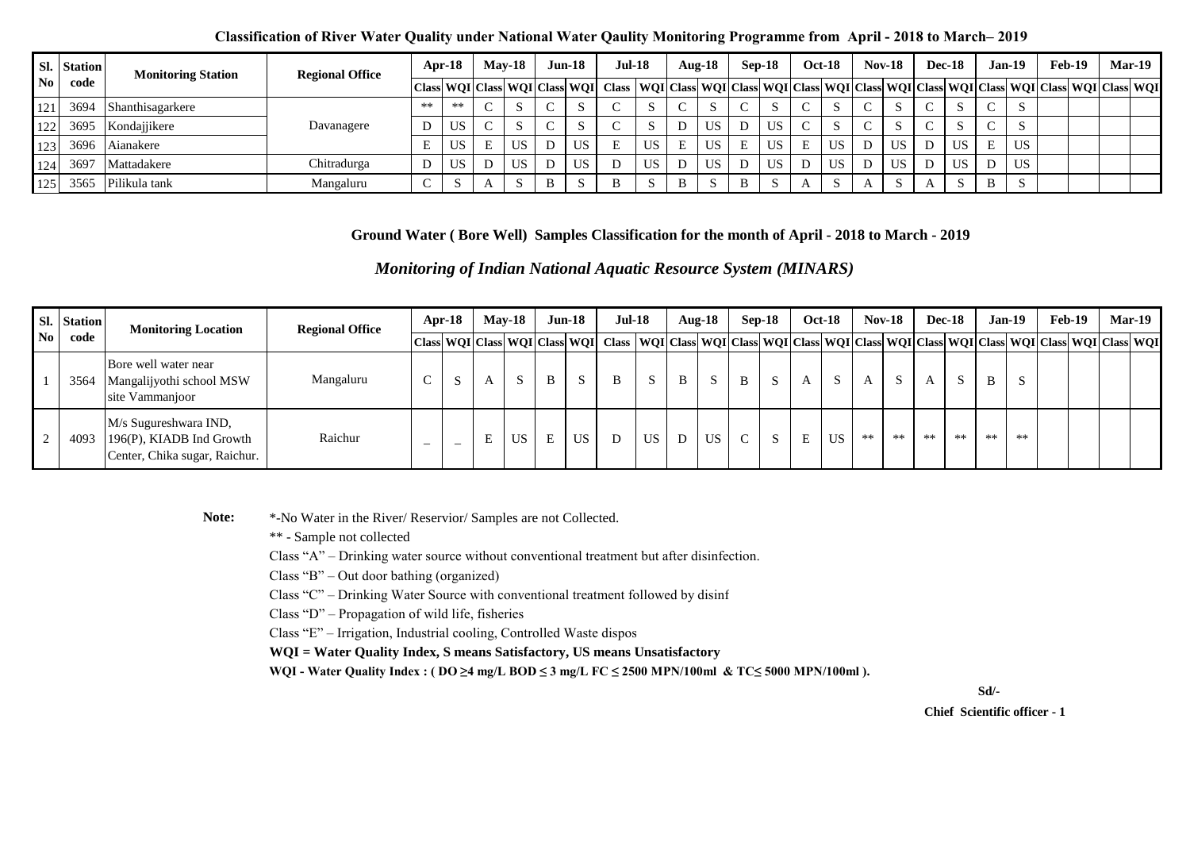|            | Sl. Station | <b>Monitoring Station</b> | <b>Regional Office</b> |    | Apr-18    | $Mav-18$                      |           |        | $Jun-18$  | <b>Jul-18</b>                                                                                                               |     |              | Aug- $18$ |                      | $Sep-18$  |        | <b>Oct-18</b> | $Nov-18$ |              | <b>Dec-18</b> |   | Jan-19    | Feb-19 | <b>Mar-19</b> |
|------------|-------------|---------------------------|------------------------|----|-----------|-------------------------------|-----------|--------|-----------|-----------------------------------------------------------------------------------------------------------------------------|-----|--------------|-----------|----------------------|-----------|--------|---------------|----------|--------------|---------------|---|-----------|--------|---------------|
|            | code        |                           |                        |    |           | Class WQI Class WQI Class WQI |           |        |           | Class   WQI   Class   WQI   Class   WQI   Class   WQI   Class   WQI   Class   WQI   Class   WQI   Class   WQI   Class   WQI |     |              |           |                      |           |        |               |          |              |               |   |           |        |               |
| 121        | 3694        | Shanthisagarkere          |                        | ** | **        | $\sim$                        |           |        |           |                                                                                                                             |     |              |           |                      |           | $\sim$ | د،            |          | ъ.           | -0            |   |           |        |               |
| 122<br>1/2 | 3695        | Kondajjikere              | Davanagere             |    | US        | $\sim$                        |           | $\sim$ | D.        |                                                                                                                             |     |              | US        | D                    | <b>US</b> | $\sim$ | $\sim$<br>د،  | $\sim$   | D.           | - 2           |   |           |        |               |
| 123        | 3696        | Aianakere                 |                        |    | <b>US</b> |                               | <b>US</b> | D      | <b>US</b> |                                                                                                                             | US. | E            | US.       | $\blacksquare$<br>н. | <b>US</b> | E      | <b>US</b>     | D        | <b>US</b>    | US            | E | <b>US</b> |        |               |
| 124        | 3697        | Mattadakere               | Chitradurga            |    | US.       |                               | <b>US</b> | D      | US        |                                                                                                                             | US. |              | US.       |                      | <b>US</b> | D      | <b>US</b>     | D        | <b>US</b>    | <b>US</b>     |   | <b>US</b> |        |               |
| 125        | 3565        | Pilikula tank             | Mangaluru              |    | ى         |                               |           | B      |           | B                                                                                                                           |     | $\mathbf{B}$ |           | B                    |           |        |               |          | $\sim$<br>D. |               | B |           |        |               |

#### **Ground Water ( Bore Well) Samples Classification for the month of April - 2018 to March - 2019**

*Monitoring of Indian National Aquatic Resource System (MINARS)* 

|    | <b>Station</b> | <b>Monitoring Location</b>                                                         | <b>Regional Office</b> |                          | $Apr-18$                 |   | <b>May-18</b> | $Jun-18$ |           | $Jul-18$                                                                                                                                                                                                                      |     |   | $Aug-18$      |               | $Sep-18$ |   | <b>Oct-18</b> | $Nov-18$ |      | <b>Dec-18</b> |    | $Jan-19$ |      | Feb-19 |  | <b>Mar-19</b> |
|----|----------------|------------------------------------------------------------------------------------|------------------------|--------------------------|--------------------------|---|---------------|----------|-----------|-------------------------------------------------------------------------------------------------------------------------------------------------------------------------------------------------------------------------------|-----|---|---------------|---------------|----------|---|---------------|----------|------|---------------|----|----------|------|--------|--|---------------|
| No | code           |                                                                                    |                        |                          |                          |   |               |          |           | Class  WQI  Class  WQI  Class  WQI  Class   WQI  Class   WQI  Class  WQI  Class  WQI  Class  WQI  Class  WQI  Class  WQI  Class   WQI  Class   WQI  Class   WQI  Class   WQI  Class   WQI   Class   WQI   Class   WQI   Class |     |   |               |               |          |   |               |          |      |               |    |          |      |        |  |               |
|    | 3564           | Bore well water near<br>Mangalijyothi school MSW<br>site Vammanjoor                | Mangaluru              | $\mathcal{C}$            |                          |   | S             | B        | S.        | B                                                                                                                                                                                                                             | -S  | B | $\mathcal{L}$ | $\mathbf{B}$  |          | A | S.            | A        | S    | А             | -8 | B        | S.   |        |  |               |
|    | 4093           | M/s Sugureshwara IND,<br>196(P), KIADB Ind Growth<br>Center, Chika sugar, Raichur. | Raichur                | $\overline{\phantom{0}}$ | $\overline{\phantom{0}}$ | E | <b>US</b>     | E        | <b>US</b> |                                                                                                                                                                                                                               | US. |   | US            | $\mathcal{C}$ |          |   | US.           | $**$     | $**$ | **            | ** | $**$     | $**$ |        |  |               |

Note:  $*$ -No Water in the River/ Reservior/ Samples are not Collected.

\*\* - Sample not collected

Class "A" – Drinking water source without conventional treatment but after disinfection.

Class "B" – Out door bathing (organized)

Class " $C$ " – Drinking Water Source with conventional treatment followed by disinf

Class "D" – Propagation of wild life, fisheries

Class "E" – Irrigation, Industrial cooling, Controlled Waste dispos

**WQI = Water Quality Index, S means Satisfactory, US means Unsatisfactory**

WQI - Water Quality Index : ( DO ≥4 mg/L BOD ≤ 3 mg/L FC ≤ 2500 MPN/100ml & TC≤ 5000 MPN/100ml ).

**Sd/-**

 **Chief Scientific officer - 1**